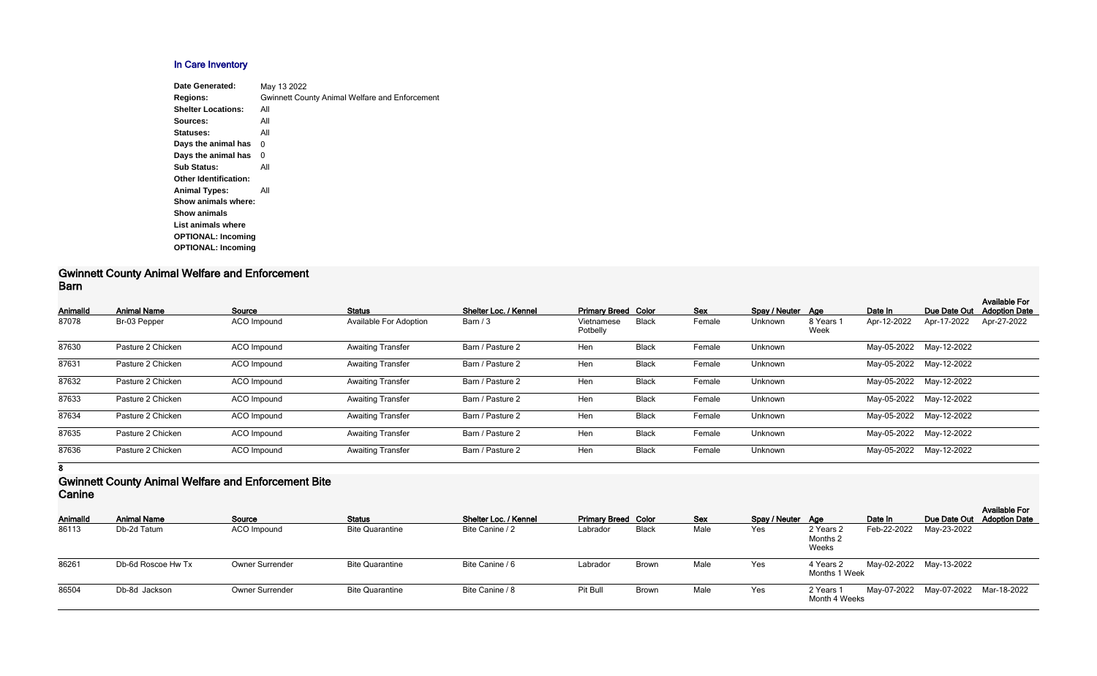# **In Care Inventory**

| Date Generated:              | May 13 2022                                           |
|------------------------------|-------------------------------------------------------|
| <b>Regions:</b>              | <b>Gwinnett County Animal Welfare and Enforcement</b> |
| <b>Shelter Locations:</b>    | All                                                   |
| Sources:                     | All                                                   |
| Statuses:                    | All                                                   |
| Days the animal has          | 0                                                     |
| Days the animal has          | 0                                                     |
| <b>Sub Status:</b>           | All                                                   |
| <b>Other Identification:</b> |                                                       |
| <b>Animal Types:</b>         | All                                                   |
| Show animals where:          |                                                       |
| <b>Show animals</b>          |                                                       |
| List animals where           |                                                       |
| <b>OPTIONAL: Incoming</b>    |                                                       |
| <b>OPTIONAL: Incoming</b>    |                                                       |
|                              |                                                       |

#### **Gwinnett County Animal Welfare and Enforcement Barn**

| Animalld | <b>Animal Name</b> | Source             | <b>Status</b>                 | Shelter Loc. / Kennel | <b>Primary Breed Color</b> |              | <b>Sex</b> | Spay / Neuter Age |                   | Date In     | Due Date Out            | <b>Available For</b><br><b>Adoption Date</b> |
|----------|--------------------|--------------------|-------------------------------|-----------------------|----------------------------|--------------|------------|-------------------|-------------------|-------------|-------------------------|----------------------------------------------|
| 87078    | Br-03 Pepper       | ACO Impound        | <b>Available For Adoption</b> | Barn $/3$             | Vietnamese<br>Potbelly     | <b>Black</b> | Female     | Unknown           | 8 Years 1<br>Week | Apr-12-2022 | Apr-17-2022             | Apr-27-2022                                  |
| 87630    | Pasture 2 Chicken  | ACO Impound        | <b>Awaiting Transfer</b>      | Barn / Pasture 2      | Hen                        | <b>Black</b> | Female     | Unknown           |                   |             | May-05-2022 May-12-2022 |                                              |
| 87631    | Pasture 2 Chicken  | ACO Impound        | <b>Awaiting Transfer</b>      | Barn / Pasture 2      | Hen                        | <b>Black</b> | Female     | Unknown           |                   |             | May-05-2022 May-12-2022 |                                              |
| 87632    | Pasture 2 Chicken  | ACO Impound        | <b>Awaiting Transfer</b>      | Barn / Pasture 2      | Hen                        | <b>Black</b> | Female     | Unknown           |                   |             | May-05-2022 May-12-2022 |                                              |
| 87633    | Pasture 2 Chicken  | ACO Impound        | <b>Awaiting Transfer</b>      | Barn / Pasture 2      | Hen                        | <b>Black</b> | Female     | Unknown           |                   |             | May-05-2022 May-12-2022 |                                              |
| 87634    | Pasture 2 Chicken  | ACO Impound        | <b>Awaiting Transfer</b>      | Barn / Pasture 2      | Hen                        | <b>Black</b> | Female     | Unknown           |                   |             | May-05-2022 May-12-2022 |                                              |
| 87635    | Pasture 2 Chicken  | <b>ACO</b> Impound | <b>Awaiting Transfer</b>      | Barn / Pasture 2      | Hen                        | <b>Black</b> | Female     | Unknown           |                   |             | May-05-2022 May-12-2022 |                                              |
| 87636    | Pasture 2 Chicken  | ACO Impound        | <b>Awaiting Transfer</b>      | Barn / Pasture 2      | Hen                        | <b>Black</b> | Female     | Unknown           |                   | May-05-2022 | May-12-2022             |                                              |

**8**

## **Gwinnett County Animal Welfare and Enforcement Bite Canine**

| <b>AnimalId</b> | <b>Animal Name</b> | Source                 | <b>Status</b>          | Shelter Loc. / Kennel | <b>Primary Breed Color</b> |              | <b>Sex</b> | Spay / Neuter Age |                                           | Date In     |                                     | <b>Available For</b><br>Due Date Out Adoption Date |
|-----------------|--------------------|------------------------|------------------------|-----------------------|----------------------------|--------------|------------|-------------------|-------------------------------------------|-------------|-------------------------------------|----------------------------------------------------|
| 86113           | Db-2d Tatum        | ACO Impound            | <b>Bite Quarantine</b> | Bite Canine / 2       | Labrador                   | <b>Black</b> | Male       | Yes               | 2 Years 2<br>Months <sub>2</sub><br>Weeks | Feb-22-2022 | May-23-2022                         |                                                    |
| 86261           | Db-6d Roscoe Hw Tx | Owner Surrender        | <b>Bite Quarantine</b> | Bite Canine / 6       | Labrador                   | <b>Brown</b> | Male       | Yes               | 4 Years 2<br>Months 1 Week                |             | May-02-2022 May-13-2022             |                                                    |
| 86504           | Db-8d Jackson      | <b>Owner Surrender</b> | <b>Bite Quarantine</b> | Bite Canine / 8       | Pit Bull                   | <b>Brown</b> | Male       | Yes               | 2 Years 1<br>Month 4 Weeks                |             | May-07-2022 May-07-2022 Mar-18-2022 |                                                    |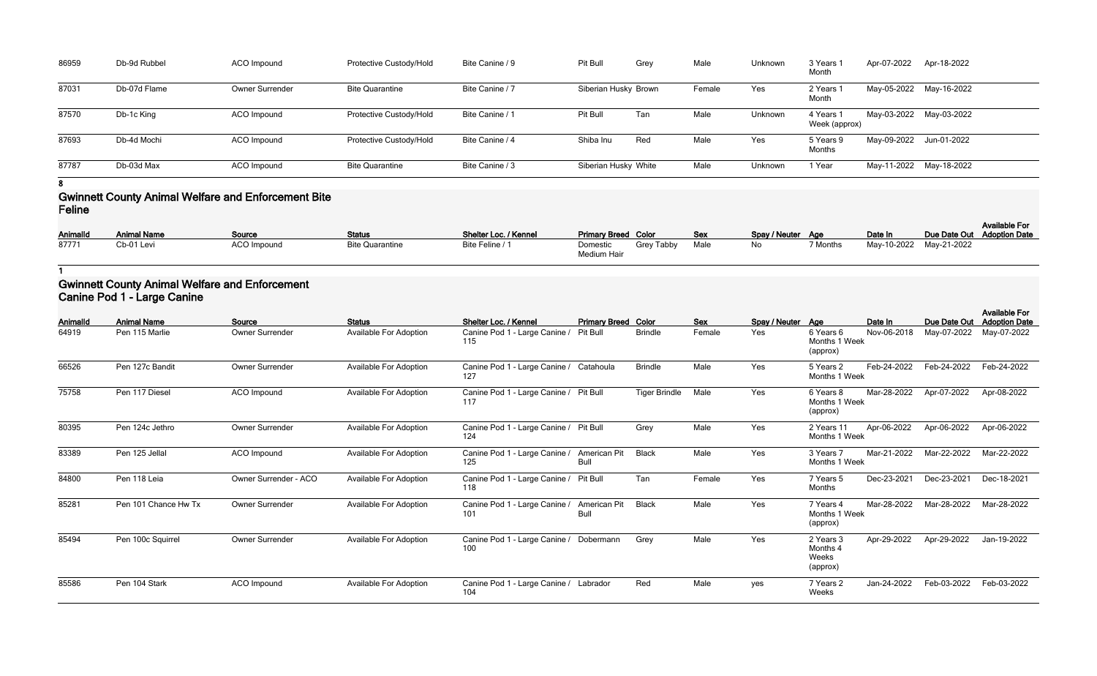| Unknown | 3 Years 1<br>Month         | Apr-07-2022 | Apr-18-2022 |
|---------|----------------------------|-------------|-------------|
| Yes     | 2 Years 1<br>Month         | May-05-2022 | May-16-2022 |
| Unknown | 4 Years 1<br>Week (approx) | May-03-2022 | May-03-2022 |
| Yes     | 5 Years 9<br><b>Months</b> | May-09-2022 | Jun-01-2022 |
| Unknown | 1 Year                     | May-11-2022 | May-18-2022 |

| 86959 | Db-9d Rubbel | ACO Impound            | Protective Custody/Hold | Bite Canine / 9 | Pit Bull             | Grey | Male   | Unknown | 3 Years<br>Month           | Apr-07-2022 | Apr-18-2022 |
|-------|--------------|------------------------|-------------------------|-----------------|----------------------|------|--------|---------|----------------------------|-------------|-------------|
| 87031 | Db-07d Flame | <b>Owner Surrender</b> | <b>Bite Quarantine</b>  | Bite Canine / 7 | Siberian Husky Brown |      | Female | Yes     | 2 Years<br>Month           | May-05-2022 | May-16-2022 |
| 87570 | Db-1c King   | ACO Impound            | Protective Custody/Hold | Bite Canine / 1 | Pit Bull             | Tan  | Male   | Unknown | 4 Years 1<br>Week (approx) | May-03-2022 | May-03-2022 |
| 87693 | Db-4d Mochi  | ACO Impound            | Protective Custody/Hold | Bite Canine / 4 | Shiba Inu            | Red  | Male   | Yes     | 5 Years 9<br>Months        | May-09-2022 | Jun-01-2022 |
| 87787 | Db-03d Max   | ACO Impound            | <b>Bite Quarantine</b>  | Bite Canine / 3 | Siberian Husky White |      | Male   | Unknown | 1 Year                     | May-11-2022 | May-18-2022 |

# **Gwinnett County Animal Welfare and Enforcement Bite Feline**

| <b>AnimalId</b> | <b>Animal Name</b> | Source             | <b>Status</b>          | Shelter Loc. / Kennel | <b>Primary Breed Color</b> |            | Sev  | Spay / Neuter Age |          | Date In                 | Due Date Out Adoption Date | <b>Available For</b> |
|-----------------|--------------------|--------------------|------------------------|-----------------------|----------------------------|------------|------|-------------------|----------|-------------------------|----------------------------|----------------------|
| 87771           | Cb-01 Levi         | <b>ACO Impound</b> | <b>Bite Quarantine</b> | Bite Feline / 1       | Domestic<br>Medium Hair    | Grey Tabby | Male | No                | 7 Months | May-10-2022 May-21-2022 |                            |                      |

**1**

# **Gwinnett County Animal Welfare and Enforcement Canine Pod 1 - Large Canine**

| <b>AnimalId</b> | <b>Animal Name</b>   | Source                 | <b>Status</b>                 | Shelter Loc. / Kennel                          | <b>Primary Breed Color</b>  |                      | <b>Sex</b> | Spay / Neuter Age |                                            | Date In     | Due Date Out | <b>Available For</b><br><b>Adoption Date</b> |
|-----------------|----------------------|------------------------|-------------------------------|------------------------------------------------|-----------------------------|----------------------|------------|-------------------|--------------------------------------------|-------------|--------------|----------------------------------------------|
| 64919           | Pen 115 Marlie       | <b>Owner Surrender</b> | Available For Adoption        | Canine Pod 1 - Large Canine<br>115             | Pit Bull                    | <b>Brindle</b>       | Female     | Yes               | 6 Years 6<br>Months 1 Week<br>(approx)     | Nov-06-2018 | May-07-2022  | May-07-2022                                  |
| 66526           | Pen 127c Bandit      | Owner Surrender        | Available For Adoption        | Canine Pod 1 - Large Canine /<br>127           | Catahoula                   | <b>Brindle</b>       | Male       | Yes               | 5 Years 2<br>Months 1 Week                 | Feb-24-2022 | Feb-24-2022  | Feb-24-2022                                  |
| 75758           | Pen 117 Diesel       | <b>ACO</b> Impound     | <b>Available For Adoption</b> | Canine Pod 1 - Large Canine /<br>117           | <b>Pit Bull</b>             | <b>Tiger Brindle</b> | Male       | Yes               | 6 Years 8<br>Months 1 Week<br>(approx)     | Mar-28-2022 | Apr-07-2022  | Apr-08-2022                                  |
| 80395           | Pen 124c Jethro      | <b>Owner Surrender</b> | Available For Adoption        | Canine Pod 1 - Large Canine / Pit Bull<br>124  |                             | Grey                 | Male       | Yes               | 2 Years 11<br>Months 1 Week                | Apr-06-2022 | Apr-06-2022  | Apr-06-2022                                  |
| 83389           | Pen 125 Jellal       | <b>ACO</b> Impound     | <b>Available For Adoption</b> | Canine Pod 1 - Large Canine /<br>125           | American Pit<br><b>Bull</b> | <b>Black</b>         | Male       | Yes               | 3 Years 7<br>Months 1 Week                 | Mar-21-2022 | Mar-22-2022  | Mar-22-2022                                  |
| 84800           | Pen 118 Leia         | Owner Surrender - ACO  | <b>Available For Adoption</b> | Canine Pod 1 - Large Canine /<br>118           | Pit Bull                    | Tan                  | Female     | Yes               | 7 Years 5<br>Months                        | Dec-23-2021 | Dec-23-2021  | Dec-18-2021                                  |
| 85281           | Pen 101 Chance Hw Tx | Owner Surrender        | Available For Adoption        | Canine Pod 1 - Large Canine /<br>101           | American Pit<br><b>Bull</b> | <b>Black</b>         | Male       | Yes               | 7 Years 4<br>Months 1 Week<br>(approx)     | Mar-28-2022 | Mar-28-2022  | Mar-28-2022                                  |
| 85494           | Pen 100c Squirrel    | Owner Surrender        | <b>Available For Adoption</b> | Canine Pod 1 - Large Canine / Dobermann<br>100 |                             | Grey                 | Male       | Yes               | 2 Years 3<br>Months 4<br>Weeks<br>(approx) | Apr-29-2022 | Apr-29-2022  | Jan-19-2022                                  |
| 85586           | Pen 104 Stark        | ACO Impound            | <b>Available For Adoption</b> | Canine Pod 1 - Large Canine / Labrador<br>104  |                             | Red                  | Male       | yes               | 7 Years 2<br>Weeks                         | Jan-24-2022 | Feb-03-2022  | Feb-03-2022                                  |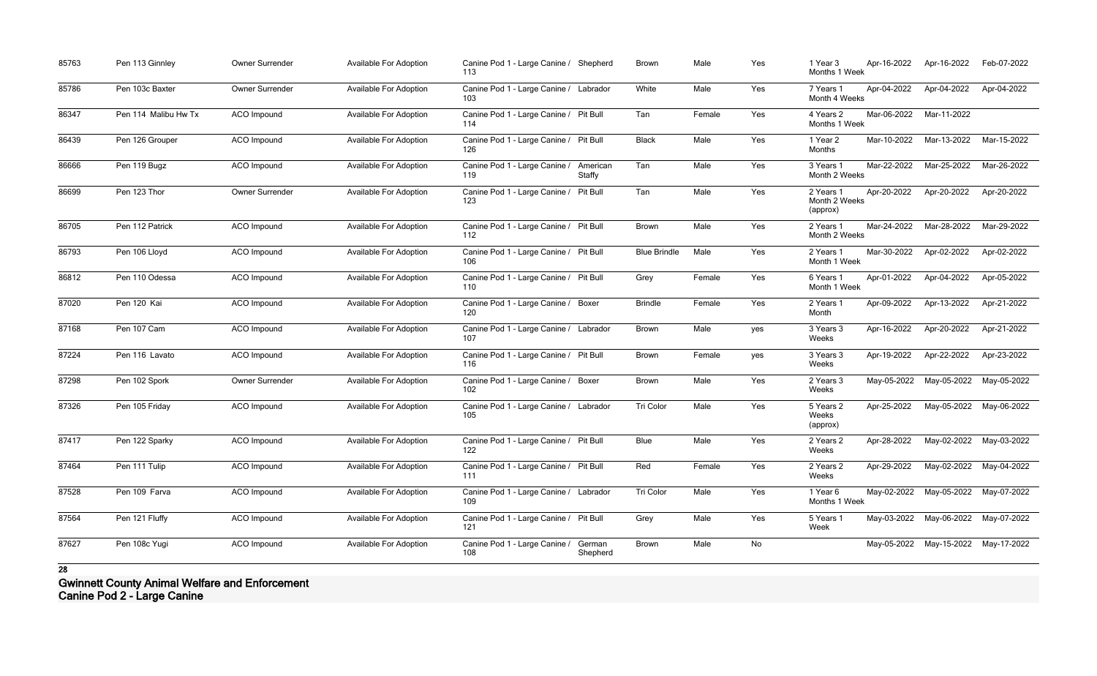| 85763 | Pen 113 Ginnley      | Owner Surrender    | Available For Adoption        | Canine Pod 1 - Large Canine /<br>113          | Shepherd           | <b>Brown</b>        | Male   | Yes | 1 Year 3<br>Months 1 Week              | Apr-16-2022 | Apr-16-2022                         | Feb-07-2022 |
|-------|----------------------|--------------------|-------------------------------|-----------------------------------------------|--------------------|---------------------|--------|-----|----------------------------------------|-------------|-------------------------------------|-------------|
| 85786 | Pen 103c Baxter      | Owner Surrender    | Available For Adoption        | Canine Pod 1 - Large Canine / Labrador<br>103 |                    | White               | Male   | Yes | 7 Years 1<br>Month 4 Weeks             | Apr-04-2022 | Apr-04-2022                         | Apr-04-2022 |
| 86347 | Pen 114 Malibu Hw Tx | ACO Impound        | <b>Available For Adoption</b> | Canine Pod 1 - Large Canine / Pit Bull<br>114 |                    | Tan                 | Female | Yes | 4 Years 2<br>Months 1 Week             | Mar-06-2022 | Mar-11-2022                         |             |
| 86439 | Pen 126 Grouper      | ACO Impound        | Available For Adoption        | Canine Pod 1 - Large Canine / Pit Bull<br>126 |                    | <b>Black</b>        | Male   | Yes | 1 Year 2<br>Months                     | Mar-10-2022 | Mar-13-2022                         | Mar-15-2022 |
| 86666 | Pen 119 Bugz         | <b>ACO</b> Impound | Available For Adoption        | Canine Pod 1 - Large Canine /<br>119          | American<br>Staffy | Tan                 | Male   | Yes | 3 Years 1<br>Month 2 Weeks             | Mar-22-2022 | Mar-25-2022                         | Mar-26-2022 |
| 86699 | Pen 123 Thor         | Owner Surrender    | <b>Available For Adoption</b> | Canine Pod 1 - Large Canine / Pit Bull<br>123 |                    | Tan                 | Male   | Yes | 2 Years 1<br>Month 2 Weeks<br>(approx) | Apr-20-2022 | Apr-20-2022                         | Apr-20-2022 |
| 86705 | Pen 112 Patrick      | ACO Impound        | Available For Adoption        | Canine Pod 1 - Large Canine / Pit Bull<br>112 |                    | <b>Brown</b>        | Male   | Yes | 2 Years 1<br>Month 2 Weeks             | Mar-24-2022 | Mar-28-2022                         | Mar-29-2022 |
| 86793 | Pen 106 Lloyd        | <b>ACO</b> Impound | Available For Adoption        | Canine Pod 1 - Large Canine / Pit Bull<br>106 |                    | <b>Blue Brindle</b> | Male   | Yes | 2 Years 1<br>Month 1 Week              | Mar-30-2022 | Apr-02-2022                         | Apr-02-2022 |
| 86812 | Pen 110 Odessa       | ACO Impound        | Available For Adoption        | Canine Pod 1 - Large Canine / Pit Bull<br>110 |                    | Grey                | Female | Yes | 6 Years 1<br>Month 1 Week              | Apr-01-2022 | Apr-04-2022                         | Apr-05-2022 |
| 87020 | Pen 120 Kai          | <b>ACO</b> Impound | Available For Adoption        | Canine Pod 1 - Large Canine /<br>120          | Boxer              | <b>Brindle</b>      | Female | Yes | 2 Years 1<br>Month                     | Apr-09-2022 | Apr-13-2022                         | Apr-21-2022 |
| 87168 | Pen 107 Cam          | ACO Impound        | Available For Adoption        | Canine Pod 1 - Large Canine / Labrador<br>107 |                    | <b>Brown</b>        | Male   | yes | 3 Years 3<br>Weeks                     | Apr-16-2022 | Apr-20-2022                         | Apr-21-2022 |
| 87224 | Pen 116 Lavato       | ACO Impound        | Available For Adoption        | Canine Pod 1 - Large Canine / Pit Bull<br>116 |                    | <b>Brown</b>        | Female | yes | 3 Years 3<br>Weeks                     | Apr-19-2022 | Apr-22-2022                         | Apr-23-2022 |
| 87298 | Pen 102 Spork        | Owner Surrender    | <b>Available For Adoption</b> | Canine Pod 1 - Large Canine /<br>102          | Boxer              | <b>Brown</b>        | Male   | Yes | 2 Years 3<br>Weeks                     | May-05-2022 | May-05-2022                         | May-05-2022 |
| 87326 | Pen 105 Friday       | ACO Impound        | <b>Available For Adoption</b> | Canine Pod 1 - Large Canine / Labrador<br>105 |                    | Tri Color           | Male   | Yes | 5 Years 2<br>Weeks<br>(approx)         | Apr-25-2022 | May-05-2022                         | May-06-2022 |
| 87417 | Pen 122 Sparky       | <b>ACO</b> Impound | <b>Available For Adoption</b> | Canine Pod 1 - Large Canine / Pit Bull<br>122 |                    | Blue                | Male   | Yes | 2 Years 2<br>Weeks                     | Apr-28-2022 | May-02-2022 May-03-2022             |             |
| 87464 | Pen 111 Tulip        | ACO Impound        | Available For Adoption        | Canine Pod 1 - Large Canine / Pit Bull<br>111 |                    | Red                 | Female | Yes | 2 Years 2<br>Weeks                     | Apr-29-2022 | May-02-2022                         | May-04-2022 |
| 87528 | Pen 109 Farva        | ACO Impound        | <b>Available For Adoption</b> | Canine Pod 1 - Large Canine / Labrador<br>109 |                    | Tri Color           | Male   | Yes | 1 Year 6<br>Months 1 Week              |             | May-02-2022 May-05-2022 May-07-2022 |             |
| 87564 | Pen 121 Fluffy       | ACO Impound        | <b>Available For Adoption</b> | Canine Pod 1 - Large Canine / Pit Bull<br>121 |                    | Grey                | Male   | Yes | 5 Years 1<br>Week                      |             | May-03-2022 May-06-2022 May-07-2022 |             |
| 87627 | Pen 108c Yugi        | ACO Impound        | Available For Adoption        | Canine Pod 1 - Large Canine /<br>108          | German<br>Shepherd | Brown               | Male   | No  |                                        |             | May-05-2022 May-15-2022             | May-17-2022 |

**Gwinnett County Animal Welfare and Enforcement Canine Pod 2 - Large Canine**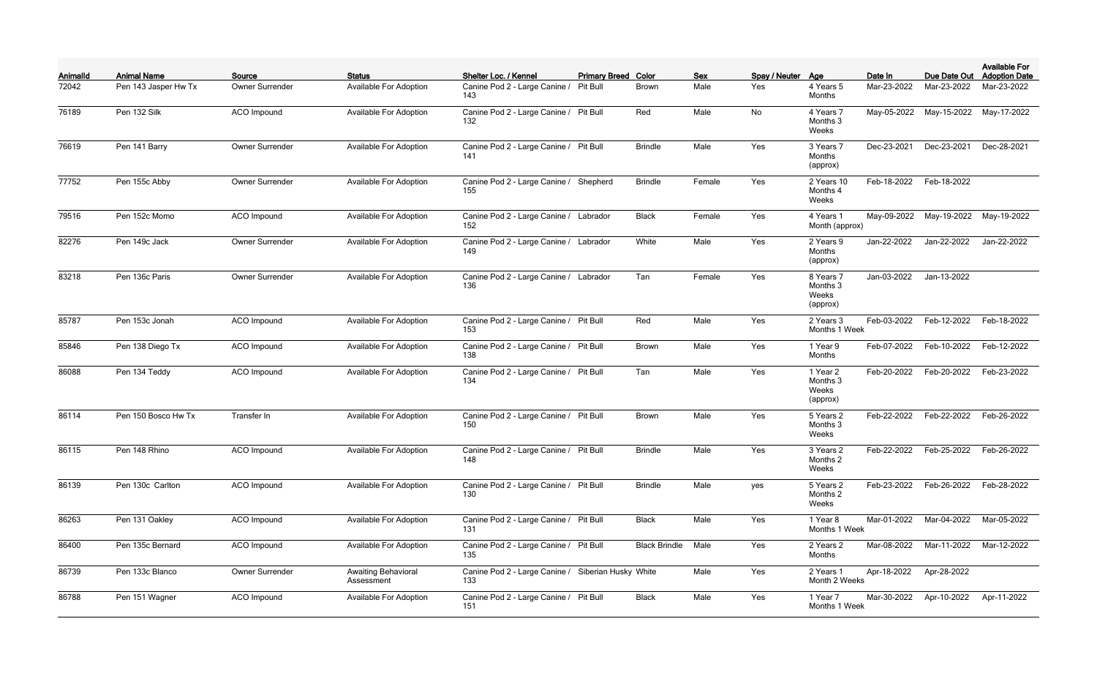| Animalld | <b>Animal Name</b>   | Source                 | <b>Status</b>                            | Shelter Loc. / Kennel                         | <b>Primary Breed Color</b> |                      | <b>Sex</b> | Spay / Neuter Age |                                            | Date In     | Due Date Out | <b>Available For</b><br><b>Adoption Date</b> |
|----------|----------------------|------------------------|------------------------------------------|-----------------------------------------------|----------------------------|----------------------|------------|-------------------|--------------------------------------------|-------------|--------------|----------------------------------------------|
| 72042    | Pen 143 Jasper Hw Tx | Owner Surrender        | <b>Available For Adoption</b>            | Canine Pod 2 - Large Canine /<br>143          | Pit Bull                   | Brown                | Male       | Yes               | 4 Years 5<br>Months                        | Mar-23-2022 | Mar-23-2022  | Mar-23-2022                                  |
| 76189    | Pen 132 Silk         | ACO Impound            | Available For Adoption                   | Canine Pod 2 - Large Canine / Pit Bull<br>132 |                            | Red                  | Male       | No                | 4 Years 7<br>Months 3<br>Weeks             | May-05-2022 | May-15-2022  | May-17-2022                                  |
| 76619    | Pen 141 Barry        | Owner Surrender        | Available For Adoption                   | Canine Pod 2 - Large Canine / Pit Bull<br>141 |                            | <b>Brindle</b>       | Male       | Yes               | 3 Years 7<br>Months<br>(approx)            | Dec-23-2021 | Dec-23-2021  | Dec-28-2021                                  |
| 77752    | Pen 155c Abby        | <b>Owner Surrender</b> | Available For Adoption                   | Canine Pod 2 - Large Canine /<br>155          | Shepherd                   | <b>Brindle</b>       | Female     | Yes               | 2 Years 10<br>Months 4<br>Weeks            | Feb-18-2022 | Feb-18-2022  |                                              |
| 79516    | Pen 152c Momo        | ACO Impound            | Available For Adoption                   | Canine Pod 2 - Large Canine / Labrador<br>152 |                            | <b>Black</b>         | Female     | Yes               | 4 Years 1<br>Month (approx)                | May-09-2022 | May-19-2022  | May-19-2022                                  |
| 82276    | Pen 149c Jack        | Owner Surrender        | Available For Adoption                   | Canine Pod 2 - Large Canine / Labrador<br>149 |                            | White                | Male       | Yes               | 2 Years 9<br>Months<br>(approx)            | Jan-22-2022 | Jan-22-2022  | Jan-22-2022                                  |
| 83218    | Pen 136c Paris       | Owner Surrender        | Available For Adoption                   | Canine Pod 2 - Large Canine / Labrador<br>136 |                            | Tan                  | Female     | Yes               | 8 Years 7<br>Months 3<br>Weeks<br>(approx) | Jan-03-2022 | Jan-13-2022  |                                              |
| 85787    | Pen 153c Jonah       | ACO Impound            | Available For Adoption                   | Canine Pod 2 - Large Canine / Pit Bull<br>153 |                            | Red                  | Male       | Yes               | 2 Years 3<br>Months 1 Week                 | Feb-03-2022 | Feb-12-2022  | Feb-18-2022                                  |
| 85846    | Pen 138 Diego Tx     | ACO Impound            | Available For Adoption                   | Canine Pod 2 - Large Canine / Pit Bull<br>138 |                            | Brown                | Male       | Yes               | 1 Year 9<br>Months                         | Feb-07-2022 | Feb-10-2022  | Feb-12-2022                                  |
| 86088    | Pen 134 Teddy        | <b>ACO</b> Impound     | Available For Adoption                   | Canine Pod 2 - Large Canine / Pit Bull<br>134 |                            | Tan                  | Male       | Yes               | 1 Year 2<br>Months 3<br>Weeks<br>(approx)  | Feb-20-2022 | Feb-20-2022  | Feb-23-2022                                  |
| 86114    | Pen 150 Bosco Hw Tx  | Transfer In            | Available For Adoption                   | Canine Pod 2 - Large Canine / Pit Bull<br>150 |                            | <b>Brown</b>         | Male       | Yes               | 5 Years 2<br>Months 3<br>Weeks             | Feb-22-2022 | Feb-22-2022  | Feb-26-2022                                  |
| 86115    | Pen 148 Rhino        | ACO Impound            | Available For Adoption                   | Canine Pod 2 - Large Canine / Pit Bull<br>148 |                            | <b>Brindle</b>       | Male       | Yes               | 3 Years 2<br>Months 2<br>Weeks             | Feb-22-2022 | Feb-25-2022  | Feb-26-2022                                  |
| 86139    | Pen 130c Carlton     | ACO Impound            | Available For Adoption                   | Canine Pod 2 - Large Canine / Pit Bull<br>130 |                            | <b>Brindle</b>       | Male       | yes               | 5 Years 2<br>Months 2<br>Weeks             | Feb-23-2022 | Feb-26-2022  | Feb-28-2022                                  |
| 86263    | Pen 131 Oakley       | ACO Impound            | <b>Available For Adoption</b>            | Canine Pod 2 - Large Canine / Pit Bull<br>131 |                            | <b>Black</b>         | Male       | Yes               | 1 Year 8<br>Months 1 Week                  | Mar-01-2022 | Mar-04-2022  | Mar-05-2022                                  |
| 86400    | Pen 135c Bernard     | <b>ACO</b> Impound     | Available For Adoption                   | Canine Pod 2 - Large Canine / Pit Bull<br>135 |                            | <b>Black Brindle</b> | Male       | Yes               | 2 Years 2<br>Months                        | Mar-08-2022 | Mar-11-2022  | Mar-12-2022                                  |
| 86739    | Pen 133c Blanco      | Owner Surrender        | <b>Awaiting Behavioral</b><br>Assessment | Canine Pod 2 - Large Canine /<br>133          | Siberian Husky White       |                      | Male       | Yes               | 2 Years 1<br>Month 2 Weeks                 | Apr-18-2022 | Apr-28-2022  |                                              |
| 86788    | Pen 151 Wagner       | <b>ACO</b> Impound     | Available For Adoption                   | Canine Pod 2 - Large Canine / Pit Bull<br>151 |                            | <b>Black</b>         | Male       | Yes               | 1 Year 7<br>Months 1 Week                  | Mar-30-2022 | Apr-10-2022  | Apr-11-2022                                  |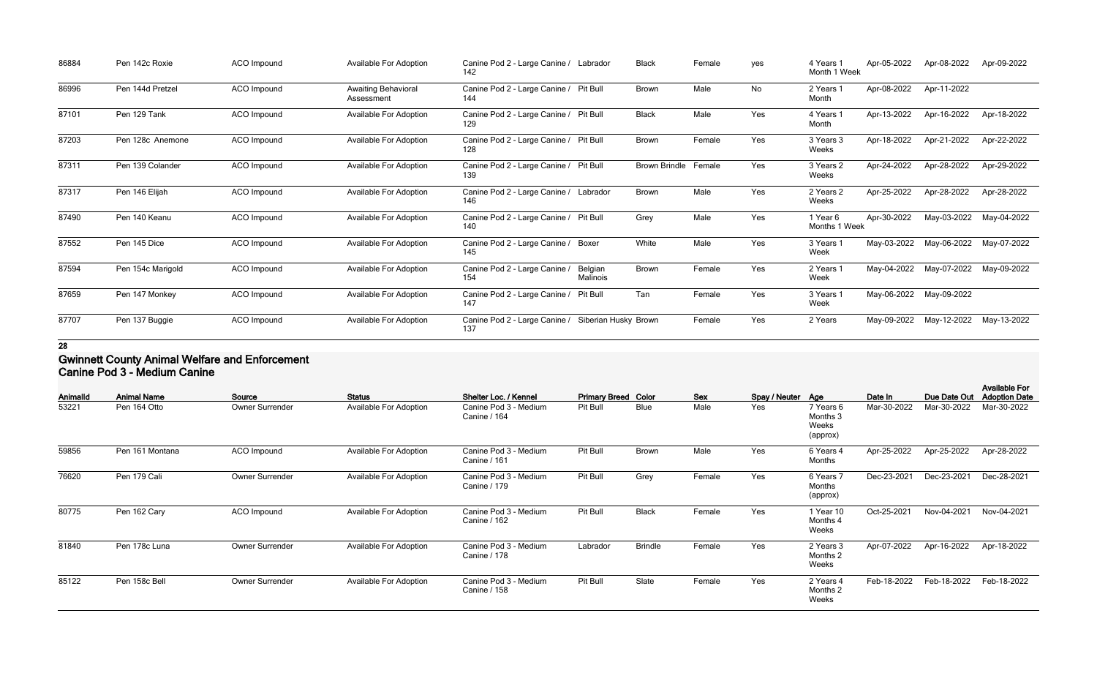| 86884 | Pen 142c Roxie    | ACO Impound | Available For Adoption                   | Canine Pod 2 - Large Canine /<br>142          | Labrador             | <b>Black</b>         | Female | yes | 4 Years 1<br>Month 1 Week | Apr-05-2022 | Apr-08-2022 | Apr-09-2022 |
|-------|-------------------|-------------|------------------------------------------|-----------------------------------------------|----------------------|----------------------|--------|-----|---------------------------|-------------|-------------|-------------|
| 86996 | Pen 144d Pretzel  | ACO Impound | <b>Awaiting Behavioral</b><br>Assessment | Canine Pod 2 - Large Canine /<br>144          | Pit Bull             | <b>Brown</b>         | Male   | No  | 2 Years 1<br>Month        | Apr-08-2022 | Apr-11-2022 |             |
| 87101 | Pen 129 Tank      | ACO Impound | <b>Available For Adoption</b>            | Canine Pod 2 - Large Canine /<br>129          | Pit Bull             | <b>Black</b>         | Male   | Yes | 4 Years 1<br>Month        | Apr-13-2022 | Apr-16-2022 | Apr-18-2022 |
| 87203 | Pen 128c Anemone  | ACO Impound | <b>Available For Adoption</b>            | Canine Pod 2 - Large Canine / Pit Bull<br>128 |                      | Brown                | Female | Yes | 3 Years 3<br>Weeks        | Apr-18-2022 | Apr-21-2022 | Apr-22-2022 |
| 87311 | Pen 139 Colander  | ACO Impound | <b>Available For Adoption</b>            | Canine Pod 2 - Large Canine /<br>139          | Pit Bull             | <b>Brown Brindle</b> | Female | Yes | 3 Years 2<br>Weeks        | Apr-24-2022 | Apr-28-2022 | Apr-29-2022 |
| 87317 | Pen 146 Elijah    | ACO Impound | <b>Available For Adoption</b>            | Canine Pod 2 - Large Canine / Labrador<br>146 |                      | Brown                | Male   | Yes | 2 Years 2<br>Weeks        | Apr-25-2022 | Apr-28-2022 | Apr-28-2022 |
| 87490 | Pen 140 Keanu     | ACO Impound | <b>Available For Adoption</b>            | Canine Pod 2 - Large Canine /<br>140          | <b>Pit Bull</b>      | Grey                 | Male   | Yes | 1 Year 6<br>Months 1 Week | Apr-30-2022 | May-03-2022 | May-04-2022 |
| 87552 | Pen 145 Dice      | ACO Impound | Available For Adoption                   | Canine Pod 2 - Large Canine / Boxer<br>145    |                      | White                | Male   | Yes | 3 Years 1<br>Week         | May-03-2022 | May-06-2022 | May-07-2022 |
| 87594 | Pen 154c Marigold | ACO Impound | Available For Adoption                   | Canine Pod 2 - Large Canine /<br>154          | Belgian<br>Malinois  | <b>Brown</b>         | Female | Yes | 2 Years 1<br>Week         | May-04-2022 | May-07-2022 | May-09-2022 |
| 87659 | Pen 147 Monkey    | ACO Impound | Available For Adoption                   | Canine Pod 2 - Large Canine /<br>147          | <b>Pit Bull</b>      | Tan                  | Female | Yes | 3 Years 1<br>Week         | May-06-2022 | May-09-2022 |             |
| 87707 | Pen 137 Buggie    | ACO Impound | <b>Available For Adoption</b>            | Canine Pod 2 - Large Canine /<br>137          | Siberian Husky Brown |                      | Female | Yes | 2 Years                   | May-09-2022 | May-12-2022 | May-13-2022 |

# **Gwinnett County Animal Welfare and Enforcement Canine Pod 3 - Medium Canine**

| -------- - -- |                    |                 |                               |                                              |                            |                |        |                   |                                            |             |              |                                              |
|---------------|--------------------|-----------------|-------------------------------|----------------------------------------------|----------------------------|----------------|--------|-------------------|--------------------------------------------|-------------|--------------|----------------------------------------------|
| Animalld      | <b>Animal Name</b> | Source          | <b>Status</b>                 | Shelter Loc. / Kennel                        | <b>Primary Breed Color</b> |                | Sex    | Spay / Neuter Age |                                            | Date In     | Due Date Out | <b>Available For</b><br><b>Adoption Date</b> |
| 53221         | Pen 164 Otto       | Owner Surrender | <b>Available For Adoption</b> | Canine Pod 3 - Medium<br>Canine / 164        | Pit Bull                   | <b>Blue</b>    | Male   | Yes               | 7 Years 6<br>Months 3<br>Weeks<br>(approx) | Mar-30-2022 | Mar-30-2022  | Mar-30-2022                                  |
| 59856         | Pen 161 Montana    | ACO Impound     | <b>Available For Adoption</b> | Canine Pod 3 - Medium<br>Canine / 161        | Pit Bull                   | <b>Brown</b>   | Male   | Yes               | 6 Years 4<br>Months                        | Apr-25-2022 | Apr-25-2022  | Apr-28-2022                                  |
| 76620         | Pen 179 Cali       | Owner Surrender | <b>Available For Adoption</b> | Canine Pod 3 - Medium<br>Canine / 179        | Pit Bull                   | Grey           | Female | Yes               | 6 Years 7<br>Months<br>(approx)            | Dec-23-2021 | Dec-23-2021  | Dec-28-2021                                  |
| 80775         | Pen 162 Cary       | ACO Impound     | <b>Available For Adoption</b> | Canine Pod 3 - Medium<br><b>Canine / 162</b> | Pit Bull                   | <b>Black</b>   | Female | Yes               | 1 Year 10<br>Months 4<br>Weeks             | Oct-25-2021 | Nov-04-2021  | Nov-04-2021                                  |
| 81840         | Pen 178c Luna      | Owner Surrender | <b>Available For Adoption</b> | Canine Pod 3 - Medium<br><b>Canine / 178</b> | Labrador                   | <b>Brindle</b> | Female | Yes               | 2 Years 3<br>Months 2<br>Weeks             | Apr-07-2022 | Apr-16-2022  | Apr-18-2022                                  |
| 85122         | Pen 158c Bell      | Owner Surrender | <b>Available For Adoption</b> | Canine Pod 3 - Medium<br><b>Canine / 158</b> | Pit Bull                   | Slate          | Female | Yes               | 2 Years 4<br>Months 2<br>Weeks             | Feb-18-2022 | Feb-18-2022  | Feb-18-2022                                  |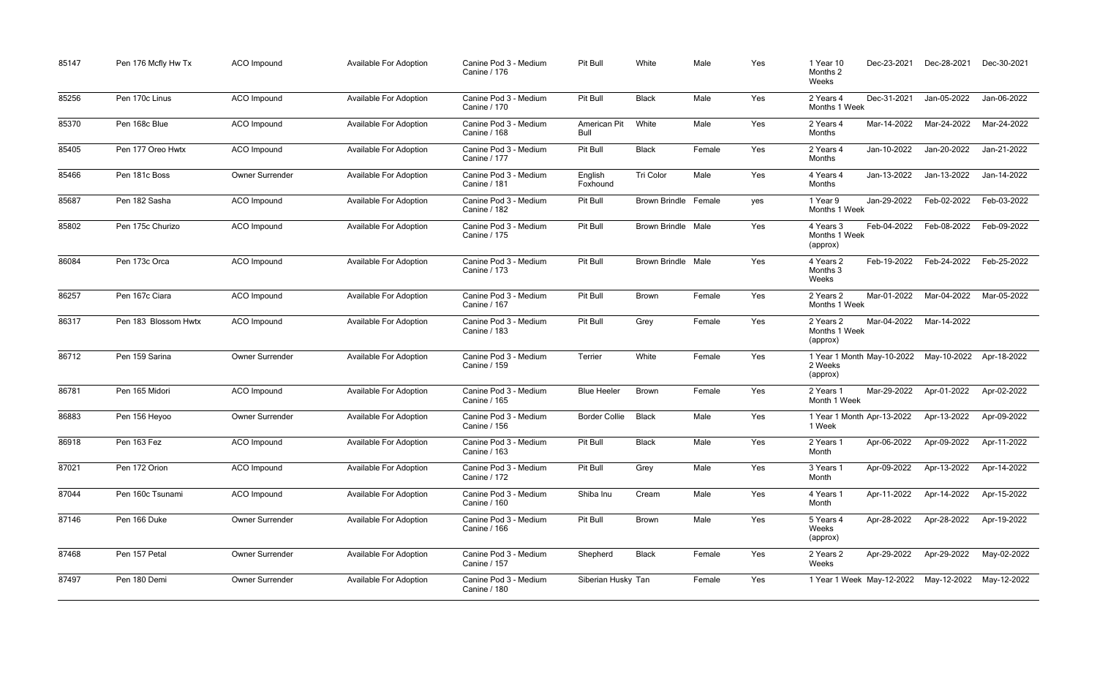| 85147 | Pen 176 Mcfly Hw Tx  | ACO Impound            | Available For Adoption        | Canine Pod 3 - Medium<br>Canine / 176        | Pit Bull             | White                       | Male   | Yes | Dec-23-2021<br>1 Year 10<br>Months 2<br>Weeks                      | Dec-28-2021             | Dec-30-2021 |
|-------|----------------------|------------------------|-------------------------------|----------------------------------------------|----------------------|-----------------------------|--------|-----|--------------------------------------------------------------------|-------------------------|-------------|
| 85256 | Pen 170c Linus       | ACO Impound            | <b>Available For Adoption</b> | Canine Pod 3 - Medium<br>Canine / 170        | Pit Bull             | <b>Black</b>                | Male   | Yes | Dec-31-2021<br>2 Years 4<br>Months 1 Week                          | Jan-05-2022             | Jan-06-2022 |
| 85370 | Pen 168c Blue        | ACO Impound            | <b>Available For Adoption</b> | Canine Pod 3 - Medium<br>Canine / 168        | American Pit<br>Bull | White                       | Male   | Yes | Mar-14-2022<br>2 Years 4<br>Months                                 | Mar-24-2022             | Mar-24-2022 |
| 85405 | Pen 177 Oreo Hwtx    | <b>ACO</b> Impound     | <b>Available For Adoption</b> | Canine Pod 3 - Medium<br>Canine / 177        | Pit Bull             | <b>Black</b>                | Female | Yes | Jan-10-2022<br>2 Years 4<br>Months                                 | Jan-20-2022             | Jan-21-2022 |
| 85466 | Pen 181c Boss        | <b>Owner Surrender</b> | <b>Available For Adoption</b> | Canine Pod 3 - Medium<br>Canine / 181        | English<br>Foxhound  | <b>Tri Color</b>            | Male   | Yes | Jan-13-2022<br>4 Years 4<br>Months                                 | Jan-13-2022             | Jan-14-2022 |
| 85687 | Pen 182 Sasha        | ACO Impound            | Available For Adoption        | Canine Pod 3 - Medium<br><b>Canine / 182</b> | Pit Bull             | <b>Brown Brindle Female</b> |        | yes | Jan-29-2022<br>1 Year 9<br>Months 1 Week                           | Feb-02-2022             | Feb-03-2022 |
| 85802 | Pen 175c Churizo     | <b>ACO</b> Impound     | Available For Adoption        | Canine Pod 3 - Medium<br>Canine / 175        | Pit Bull             | <b>Brown Brindle Male</b>   |        | Yes | Feb-04-2022<br>4 Years 3<br>Months 1 Week<br>(approx)              | Feb-08-2022             | Feb-09-2022 |
| 86084 | Pen 173c Orca        | ACO Impound            | <b>Available For Adoption</b> | Canine Pod 3 - Medium<br>Canine / 173        | Pit Bull             | <b>Brown Brindle Male</b>   |        | Yes | Feb-19-2022<br>4 Years 2<br>Months 3<br>Weeks                      | Feb-24-2022             | Feb-25-2022 |
| 86257 | Pen 167c Ciara       | ACO Impound            | Available For Adoption        | Canine Pod 3 - Medium<br>Canine / 167        | Pit Bull             | <b>Brown</b>                | Female | Yes | Mar-01-2022<br>2 Years 2<br>Months 1 Week                          | Mar-04-2022             | Mar-05-2022 |
| 86317 | Pen 183 Blossom Hwtx | ACO Impound            | <b>Available For Adoption</b> | Canine Pod 3 - Medium<br>Canine / 183        | Pit Bull             | Grey                        | Female | Yes | 2 Years 2<br>Months 1 Week<br>(approx)                             | Mar-04-2022 Mar-14-2022 |             |
| 86712 | Pen 159 Sarina       | <b>Owner Surrender</b> | <b>Available For Adoption</b> | Canine Pod 3 - Medium<br>Canine / 159        | Terrier              | White                       | Female | Yes | 1 Year 1 Month May-10-2022 May-10-2022<br>2 Weeks<br>(approx)      |                         | Apr-18-2022 |
| 86781 | Pen 165 Midori       | <b>ACO</b> Impound     | <b>Available For Adoption</b> | Canine Pod 3 - Medium<br>Canine / 165        | <b>Blue Heeler</b>   | <b>Brown</b>                | Female | Yes | Mar-29-2022<br>2 Years 1<br>Month 1 Week                           | Apr-01-2022             | Apr-02-2022 |
| 86883 | Pen 156 Heyoo        | Owner Surrender        | Available For Adoption        | Canine Pod 3 - Medium<br>Canine / 156        | <b>Border Collie</b> | Black                       | Male   | Yes | 1 Year 1 Month Apr-13-2022    Apr-13-2022    Apr-09-2022<br>1 Week |                         |             |
| 86918 | Pen 163 Fez          | ACO Impound            | <b>Available For Adoption</b> | Canine Pod 3 - Medium<br>Canine / 163        | Pit Bull             | <b>Black</b>                | Male   | Yes | Apr-06-2022<br>2 Years 1<br>Month                                  | Apr-09-2022             | Apr-11-2022 |
| 87021 | Pen 172 Orion        | ACO Impound            | <b>Available For Adoption</b> | Canine Pod 3 - Medium<br>Canine / 172        | Pit Bull             | Grey                        | Male   | Yes | Apr-09-2022<br>3 Years 1<br>Month                                  | Apr-13-2022             | Apr-14-2022 |
| 87044 | Pen 160c Tsunami     | ACO Impound            | Available For Adoption        | Canine Pod 3 - Medium<br>Canine / 160        | Shiba Inu            | Cream                       | Male   | Yes | Apr-11-2022<br>4 Years 1<br>Month                                  | Apr-14-2022             | Apr-15-2022 |
| 87146 | Pen 166 Duke         | Owner Surrender        | <b>Available For Adoption</b> | Canine Pod 3 - Medium<br>Canine / 166        | Pit Bull             | Brown                       | Male   | Yes | Apr-28-2022<br>5 Years 4<br>Weeks<br>(approx)                      | Apr-28-2022             | Apr-19-2022 |
| 87468 | Pen 157 Petal        | <b>Owner Surrender</b> | Available For Adoption        | Canine Pod 3 - Medium<br>Canine / 157        | Shepherd             | <b>Black</b>                | Female | Yes | Apr-29-2022<br>2 Years 2<br>Weeks                                  | Apr-29-2022             | May-02-2022 |
| 87497 | Pen 180 Demi         | <b>Owner Surrender</b> | Available For Adoption        | Canine Pod 3 - Medium<br><b>Canine / 180</b> | Siberian Husky Tan   |                             | Female | Yes |                                                                    |                         |             |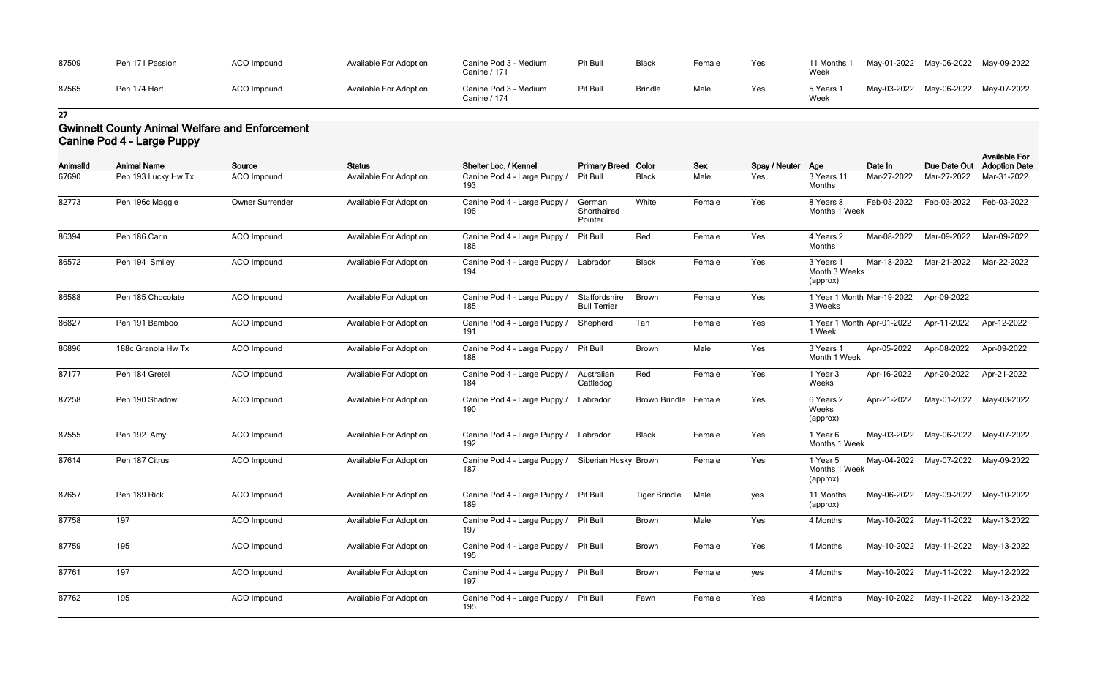| 87509 | Pen 171 Passion | ACO Impound | <b>Available For Adoption</b> | Canine Pod 3 - Medium<br>Canine / 171 | Pit Bull | <b>Black</b>   | Female | Yes | 11 Months 1<br>Week | May-01-2022 May-06-2022 | May-09-2022 |
|-------|-----------------|-------------|-------------------------------|---------------------------------------|----------|----------------|--------|-----|---------------------|-------------------------|-------------|
| 87565 | Pen 174 Hart    | ACO Impound | <b>Available For Adoption</b> | Canine Pod 3 - Medium<br>Canine / 174 | Pit Bull | <b>Brindle</b> | Male   | Yes | ־ Years ֿ<br>Week   | May-03-2022 May-06-2022 | May-07-2022 |

# **Gwinnett County Animal Welfare and Enforcement Canine Pod 4 - Large Puppy**

| Animalld | <b>Animal Name</b>  | Source             | <b>Status</b>                 | Shelter Loc. / Kennel               | <b>Primary Breed Color</b>           |                      | <b>Sex</b> | Spay / Neuter Age |                                        | Date In     | Due Date Out                        | <b>Available For</b><br><b>Adoption Date</b> |
|----------|---------------------|--------------------|-------------------------------|-------------------------------------|--------------------------------------|----------------------|------------|-------------------|----------------------------------------|-------------|-------------------------------------|----------------------------------------------|
| 67690    | Pen 193 Lucky Hw Tx | ACO Impound        | <b>Available For Adoption</b> | Canine Pod 4 - Large Puppy /<br>193 | Pit Bull                             | <b>Black</b>         | Male       | Yes               | 3 Years 11<br>Months                   | Mar-27-2022 | Mar-27-2022                         | Mar-31-2022                                  |
| 82773    | Pen 196c Maggie     | Owner Surrender    | <b>Available For Adoption</b> | Canine Pod 4 - Large Puppy<br>196   | German<br>Shorthaired<br>Pointer     | White                | Female     | Yes               | 8 Years 8<br>Months 1 Week             | Feb-03-2022 | Feb-03-2022                         | Feb-03-2022                                  |
| 86394    | Pen 186 Carin       | ACO Impound        | <b>Available For Adoption</b> | Canine Pod 4 - Large Puppy /<br>186 | Pit Bull                             | Red                  | Female     | Yes               | 4 Years 2<br>Months                    | Mar-08-2022 | Mar-09-2022                         | Mar-09-2022                                  |
| 86572    | Pen 194 Smiley      | <b>ACO</b> Impound | <b>Available For Adoption</b> | Canine Pod 4 - Large Puppy /<br>194 | Labrador                             | <b>Black</b>         | Female     | Yes               | 3 Years 1<br>Month 3 Weeks<br>(approx) | Mar-18-2022 | Mar-21-2022                         | Mar-22-2022                                  |
| 86588    | Pen 185 Chocolate   | ACO Impound        | <b>Available For Adoption</b> | Canine Pod 4 - Large Puppy<br>185   | Staffordshire<br><b>Bull Terrier</b> | <b>Brown</b>         | Female     | Yes               | 1 Year 1 Month Mar-19-2022<br>3 Weeks  |             | Apr-09-2022                         |                                              |
| 86827    | Pen 191 Bamboo      | ACO Impound        | Available For Adoption        | Canine Pod 4 - Large Puppy /<br>191 | Shepherd                             | Tan                  | Female     | Yes               | 1 Year 1 Month Apr-01-2022<br>1 Week   |             | Apr-11-2022                         | Apr-12-2022                                  |
| 86896    | 188c Granola Hw Tx  | ACO Impound        | <b>Available For Adoption</b> | Canine Pod 4 - Large Puppy /<br>188 | Pit Bull                             | <b>Brown</b>         | Male       | Yes               | 3 Years 1<br>Month 1 Week              | Apr-05-2022 | Apr-08-2022                         | Apr-09-2022                                  |
| 87177    | Pen 184 Gretel      | ACO Impound        | <b>Available For Adoption</b> | Canine Pod 4 - Large Puppy<br>184   | Australian<br>Cattledog              | Red                  | Female     | Yes               | 1 Year 3<br>Weeks                      | Apr-16-2022 | Apr-20-2022                         | Apr-21-2022                                  |
| 87258    | Pen 190 Shadow      | ACO Impound        | <b>Available For Adoption</b> | Canine Pod 4 - Large Puppy /<br>190 | Labrador                             | <b>Brown Brindle</b> | Female     | Yes               | 6 Years 2<br>Weeks<br>(approx)         | Apr-21-2022 | May-01-2022                         | May-03-2022                                  |
| 87555    | Pen 192 Amy         | ACO Impound        | <b>Available For Adoption</b> | Canine Pod 4 - Large Puppy /<br>192 | Labrador                             | <b>Black</b>         | Female     | Yes               | 1 Year 6<br>Months 1 Week              | May-03-2022 | May-06-2022                         | May-07-2022                                  |
| 87614    | Pen 187 Citrus      | ACO Impound        | <b>Available For Adoption</b> | Canine Pod 4 - Large Puppy /<br>187 | Siberian Husky Brown                 |                      | Female     | Yes               | 1 Year 5<br>Months 1 Week<br>(approx)  | May-04-2022 | May-07-2022                         | May-09-2022                                  |
| 87657    | Pen 189 Rick        | ACO Impound        | <b>Available For Adoption</b> | Canine Pod 4 - Large Puppy /<br>189 | <b>Pit Bull</b>                      | <b>Tiger Brindle</b> | Male       | yes               | 11 Months<br>(approx)                  | May-06-2022 | May-09-2022                         | May-10-2022                                  |
| 87758    | 197                 | ACO Impound        | <b>Available For Adoption</b> | Canine Pod 4 - Large Puppy /<br>197 | Pit Bull                             | <b>Brown</b>         | Male       | Yes               | 4 Months                               |             | May-10-2022 May-11-2022 May-13-2022 |                                              |
| 87759    | 195                 | ACO Impound        | <b>Available For Adoption</b> | Canine Pod 4 - Large Puppy /<br>195 | Pit Bull                             | Brown                | Female     | Yes               | 4 Months                               |             | May-10-2022 May-11-2022 May-13-2022 |                                              |
| 87761    | 197                 | ACO Impound        | <b>Available For Adoption</b> | Canine Pod 4 - Large Puppy /<br>197 | Pit Bull                             | Brown                | Female     | yes               | 4 Months                               |             | May-10-2022 May-11-2022 May-12-2022 |                                              |
| 87762    | 195                 | ACO Impound        | <b>Available For Adoption</b> | Canine Pod 4 - Large Puppy /<br>195 | Pit Bull                             | Fawn                 | Female     | Yes               | 4 Months                               |             | May-10-2022 May-11-2022 May-13-2022 |                                              |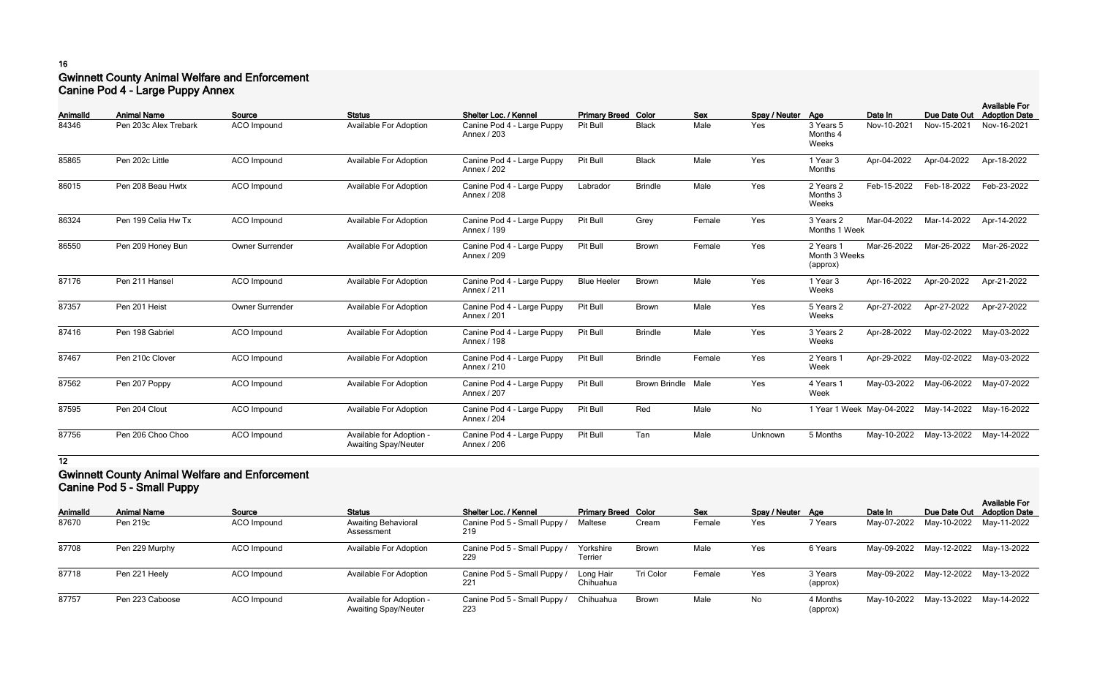# **16 Gwinnett County Animal Welfare and Enforcement Canine Pod 4 - Large Puppy Annex**

|                   |                                             |                              |                                                         |                                                                    |                                        |                           |                    |                          |                                        |                           |                             | <b>Available For</b>                |
|-------------------|---------------------------------------------|------------------------------|---------------------------------------------------------|--------------------------------------------------------------------|----------------------------------------|---------------------------|--------------------|--------------------------|----------------------------------------|---------------------------|-----------------------------|-------------------------------------|
| Animalld<br>84346 | <b>Animal Name</b><br>Pen 203c Alex Trebark | Source<br><b>ACO</b> Impound | <b>Status</b><br><b>Available For Adoption</b>          | Shelter Loc. / Kennel<br>Canine Pod 4 - Large Puppy<br>Annex / 203 | <b>Primary Breed Color</b><br>Pit Bull | <b>Black</b>              | <b>Sex</b><br>Male | Spay / Neuter Age<br>Yes | 3 Years 5<br>Months 4<br>Weeks         | Date In<br>Nov-10-2021    | Due Date Out<br>Nov-15-2021 | <b>Adoption Date</b><br>Nov-16-2021 |
| 85865             | Pen 202c Little                             | <b>ACO</b> Impound           | <b>Available For Adoption</b>                           | Canine Pod 4 - Large Puppy<br>Annex / 202                          | Pit Bull                               | <b>Black</b>              | Male               | Yes                      | 1 Year 3<br>Months                     | Apr-04-2022               | Apr-04-2022                 | Apr-18-2022                         |
| 86015             | Pen 208 Beau Hwtx                           | <b>ACO</b> Impound           | <b>Available For Adoption</b>                           | Canine Pod 4 - Large Puppy<br>Annex / 208                          | Labrador                               | <b>Brindle</b>            | Male               | Yes                      | 2 Years 2<br>Months 3<br>Weeks         | Feb-15-2022               | Feb-18-2022                 | Feb-23-2022                         |
| 86324             | Pen 199 Celia Hw Tx                         | <b>ACO</b> Impound           | <b>Available For Adoption</b>                           | Canine Pod 4 - Large Puppy<br>Annex / 199                          | Pit Bull                               | Grey                      | Female             | Yes                      | 3 Years 2<br>Months 1 Week             | Mar-04-2022               | Mar-14-2022                 | Apr-14-2022                         |
| 86550             | Pen 209 Honey Bun                           | Owner Surrender              | <b>Available For Adoption</b>                           | Canine Pod 4 - Large Puppy<br>Annex / 209                          | Pit Bull                               | <b>Brown</b>              | Female             | Yes                      | 2 Years 1<br>Month 3 Weeks<br>(approx) | Mar-26-2022               | Mar-26-2022                 | Mar-26-2022                         |
| 87176             | Pen 211 Hansel                              | ACO Impound                  | <b>Available For Adoption</b>                           | Canine Pod 4 - Large Puppy<br>Annex / 211                          | <b>Blue Heeler</b>                     | Brown                     | Male               | Yes                      | 1 Year 3<br>Weeks                      | Apr-16-2022               | Apr-20-2022                 | Apr-21-2022                         |
| 87357             | Pen 201 Heist                               | Owner Surrender              | <b>Available For Adoption</b>                           | Canine Pod 4 - Large Puppy<br>Annex / 201                          | Pit Bull                               | <b>Brown</b>              | Male               | Yes                      | 5 Years 2<br>Weeks                     | Apr-27-2022               | Apr-27-2022                 | Apr-27-2022                         |
| 87416             | Pen 198 Gabriel                             | <b>ACO</b> Impound           | <b>Available For Adoption</b>                           | Canine Pod 4 - Large Puppy<br>Annex / 198                          | Pit Bull                               | <b>Brindle</b>            | Male               | Yes                      | 3 Years 2<br>Weeks                     | Apr-28-2022               | May-02-2022                 | May-03-2022                         |
| 87467             | Pen 210c Clover                             | <b>ACO</b> Impound           | <b>Available For Adoption</b>                           | Canine Pod 4 - Large Puppy<br>Annex / 210                          | Pit Bull                               | <b>Brindle</b>            | Female             | Yes                      | 2 Years 1<br>Week                      | Apr-29-2022               | May-02-2022                 | May-03-2022                         |
| 87562             | Pen 207 Poppy                               | <b>ACO</b> Impound           | <b>Available For Adoption</b>                           | Canine Pod 4 - Large Puppy<br>Annex / 207                          | Pit Bull                               | <b>Brown Brindle Male</b> |                    | Yes                      | 4 Years 1<br>Week                      | May-03-2022               | May-06-2022                 | May-07-2022                         |
| 87595             | Pen 204 Clout                               | <b>ACO</b> Impound           | <b>Available For Adoption</b>                           | Canine Pod 4 - Large Puppy<br>Annex / 204                          | Pit Bull                               | Red                       | Male               | No                       |                                        | 1 Year 1 Week May-04-2022 | May-14-2022                 | May-16-2022                         |
| 87756             | Pen 206 Choo Choo                           | <b>ACO</b> Impound           | Available for Adoption -<br><b>Awaiting Spay/Neuter</b> | Canine Pod 4 - Large Puppy<br>Annex / 206                          | Pit Bull                               | Tan                       | Male               | Unknown                  | 5 Months                               | May-10-2022               | May-13-2022                 | May-14-2022                         |

# **12**

# **Gwinnett County Animal Welfare and Enforcement Canine Pod 5 - Small Puppy**

| <b>AnimalId</b> | <b>Animal Name</b> | Source      | <b>Status</b>                                           | Shelter Loc. / Kennel               | <b>Primary Breed Color</b> |              | <b>Sex</b> | Spay / Neuter Age |                      | Date In     |                                     | <b>Available For</b><br>Due Date Out Adoption Date |
|-----------------|--------------------|-------------|---------------------------------------------------------|-------------------------------------|----------------------------|--------------|------------|-------------------|----------------------|-------------|-------------------------------------|----------------------------------------------------|
| 87670           | Pen 219c           | ACO Impound | <b>Awaiting Behavioral</b><br>Assessment                | Canine Pod 5 - Small Puppy /<br>219 | Maltese                    | Cream        | Female     | Yes               | 7 Years              | May-07-2022 | May-10-2022 May-11-2022             |                                                    |
| 87708           | Pen 229 Murphy     | ACO Impound | <b>Available For Adoption</b>                           | Canine Pod 5 - Small Puppy /        | Yorkshire<br>Terrier       | <b>Brown</b> | Male       | Yes               | 6 Years              |             | May-09-2022 May-12-2022 May-13-2022 |                                                    |
| 87718           | Pen 221 Heely      | ACO Impound | <b>Available For Adoption</b>                           | Canine Pod 5 - Small Puppy /        | Long Hair<br>Chihuahua     | Tri Color    | Female     | Yes               | 3 Years<br>(approx)  |             | May-09-2022 May-12-2022 May-13-2022 |                                                    |
| 87757           | Pen 223 Caboose    | ACO Impound | Available for Adoption -<br><b>Awaiting Spay/Neuter</b> | Canine Pod 5 - Small Puppy /<br>223 | Chihuahua                  | Brown        | Male       | No                | 4 Months<br>(approx) |             | May-10-2022 May-13-2022 May-14-2022 |                                                    |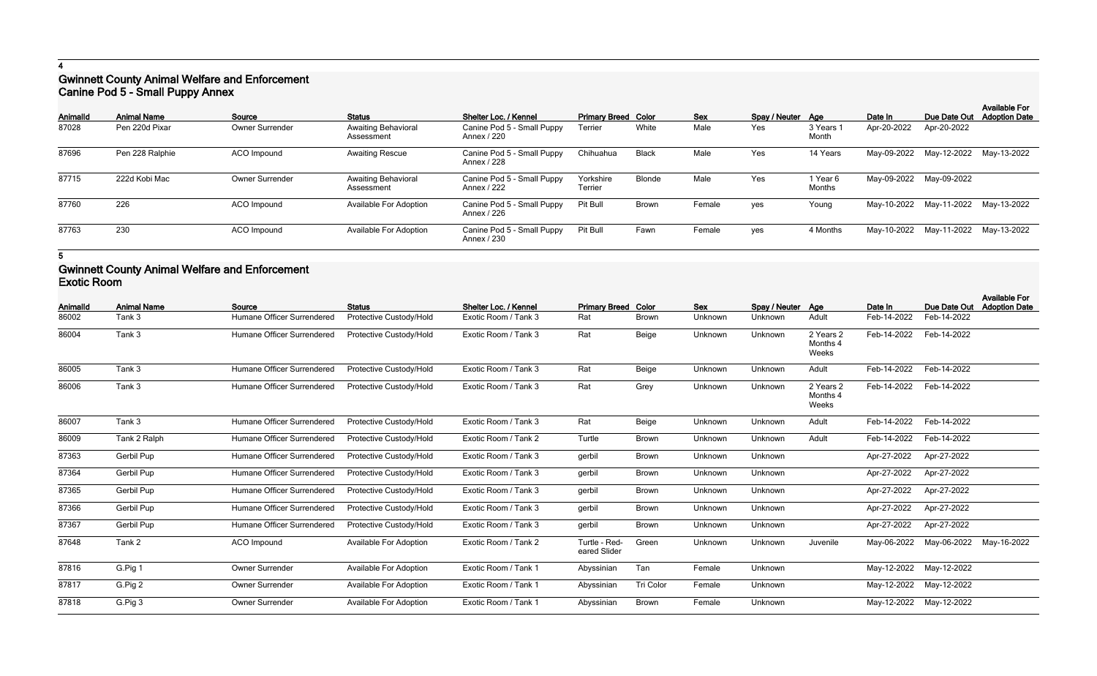# **Gwinnett County Animal Welfare and Enforcement Canine Pod 5 - Small Puppy Annex**

| Animalld | <b>Animal Name</b> | Source          | <b>Status</b>                            | Shelter Loc. / Kennel                     | <b>Primary Breed Color</b> |               | <b>Sex</b> | Spay / Neuter Age |                    | Date In                 | Due Date Out                        | <b>Available For</b><br><b>Adoption Date</b> |
|----------|--------------------|-----------------|------------------------------------------|-------------------------------------------|----------------------------|---------------|------------|-------------------|--------------------|-------------------------|-------------------------------------|----------------------------------------------|
| 87028    | Pen 220d Pixar     | Owner Surrender | <b>Awaiting Behavioral</b><br>Assessment | Canine Pod 5 - Small Puppy<br>Annex / 220 | Terrier                    | White         | Male       | Yes               | 3 Years 1<br>Month | Apr-20-2022             | Apr-20-2022                         |                                              |
| 87696    | Pen 228 Ralphie    | ACO Impound     | <b>Awaiting Rescue</b>                   | Canine Pod 5 - Small Puppy<br>Annex / 228 | Chihuahua                  | <b>Black</b>  | Male       | Yes               | 14 Years           |                         | May-09-2022 May-12-2022 May-13-2022 |                                              |
| 87715    | 222d Kobi Mac      | Owner Surrender | <b>Awaiting Behavioral</b><br>Assessment | Canine Pod 5 - Small Puppy<br>Annex / 222 | Yorkshire<br>Terrier       | <b>Blonde</b> | Male       | Yes               | 1 Year 6<br>Months | May-09-2022 May-09-2022 |                                     |                                              |
| 87760    | 226                | ACO Impound     | <b>Available For Adoption</b>            | Canine Pod 5 - Small Puppy<br>Annex / 226 | Pit Bull                   | <b>Brown</b>  | Female     | yes               | Young              |                         | May-10-2022 May-11-2022 May-13-2022 |                                              |
| 87763    | 230                | ACO Impound     | <b>Available For Adoption</b>            | Canine Pod 5 - Small Puppy<br>Annex / 230 | Pit Bull                   | Fawn          | Female     | ves               | 4 Months           |                         | May-10-2022 May-11-2022 May-13-2022 |                                              |

**5**

# **Gwinnett County Animal Welfare and Enforcement Exotic Room**

| Animalld | <b>Animal Name</b> | Source                     | <b>Status</b>                 | Shelter Loc. / Kennel | <b>Primary Breed Color</b>    |                  | <b>Sex</b> | Spay / Neuter Age |                                | Date In     | Due Date Out | <b>Available For</b><br><b>Adoption Date</b> |
|----------|--------------------|----------------------------|-------------------------------|-----------------------|-------------------------------|------------------|------------|-------------------|--------------------------------|-------------|--------------|----------------------------------------------|
| 86002    | Tank 3             | Humane Officer Surrendered | Protective Custody/Hold       | Exotic Room / Tank 3  | Rat                           | <b>Brown</b>     | Unknown    | Unknown           | Adult                          | Feb-14-2022 | Feb-14-2022  |                                              |
| 86004    | Tank 3             | Humane Officer Surrendered | Protective Custody/Hold       | Exotic Room / Tank 3  | Rat                           | Beige            | Unknown    | Unknown           | 2 Years 2<br>Months 4<br>Weeks | Feb-14-2022 | Feb-14-2022  |                                              |
| 86005    | Tank 3             | Humane Officer Surrendered | Protective Custody/Hold       | Exotic Room / Tank 3  | Rat                           | Beige            | Unknown    | Unknown           | Adult                          | Feb-14-2022 | Feb-14-2022  |                                              |
| 86006    | Tank 3             | Humane Officer Surrendered | Protective Custody/Hold       | Exotic Room / Tank 3  | Rat                           | Grey             | Unknown    | Unknown           | 2 Years 2<br>Months 4<br>Weeks | Feb-14-2022 | Feb-14-2022  |                                              |
| 86007    | Tank 3             | Humane Officer Surrendered | Protective Custody/Hold       | Exotic Room / Tank 3  | Rat                           | Beige            | Unknown    | Unknown           | Adult                          | Feb-14-2022 | Feb-14-2022  |                                              |
| 86009    | Tank 2 Ralph       | Humane Officer Surrendered | Protective Custody/Hold       | Exotic Room / Tank 2  | Turtle                        | Brown            | Unknown    | Unknown           | Adult                          | Feb-14-2022 | Feb-14-2022  |                                              |
| 87363    | Gerbil Pup         | Humane Officer Surrendered | Protective Custody/Hold       | Exotic Room / Tank 3  | gerbil                        | Brown            | Unknown    | Unknown           |                                | Apr-27-2022 | Apr-27-2022  |                                              |
| 87364    | Gerbil Pup         | Humane Officer Surrendered | Protective Custody/Hold       | Exotic Room / Tank 3  | gerbil                        | <b>Brown</b>     | Unknown    | Unknown           |                                | Apr-27-2022 | Apr-27-2022  |                                              |
| 87365    | Gerbil Pup         | Humane Officer Surrendered | Protective Custody/Hold       | Exotic Room / Tank 3  | gerbil                        | <b>Brown</b>     | Unknown    | Unknown           |                                | Apr-27-2022 | Apr-27-2022  |                                              |
| 87366    | Gerbil Pup         | Humane Officer Surrendered | Protective Custody/Hold       | Exotic Room / Tank 3  | gerbil                        | <b>Brown</b>     | Unknown    | Unknown           |                                | Apr-27-2022 | Apr-27-2022  |                                              |
| 87367    | Gerbil Pup         | Humane Officer Surrendered | Protective Custody/Hold       | Exotic Room / Tank 3  | gerbil                        | <b>Brown</b>     | Unknown    | Unknown           |                                | Apr-27-2022 | Apr-27-2022  |                                              |
| 87648    | Tank 2             | ACO Impound                | <b>Available For Adoption</b> | Exotic Room / Tank 2  | Turtle - Red-<br>eared Slider | Green            | Unknown    | Unknown           | Juvenile                       | May-06-2022 | May-06-2022  | May-16-2022                                  |
| 87816    | G.Pig 1            | <b>Owner Surrender</b>     | Available For Adoption        | Exotic Room / Tank 1  | Abyssinian                    | Tan              | Female     | Unknown           |                                | May-12-2022 | May-12-2022  |                                              |
| 87817    | G.Pig 2            | Owner Surrender            | <b>Available For Adoption</b> | Exotic Room / Tank 1  | Abyssinian                    | <b>Tri Color</b> | Female     | Unknown           |                                | May-12-2022 | May-12-2022  |                                              |
| 87818    | G.Pig 3            | <b>Owner Surrender</b>     | <b>Available For Adoption</b> | Exotic Room / Tank 1  | Abyssinian                    | Brown            | Female     | Unknown           |                                | May-12-2022 | May-12-2022  |                                              |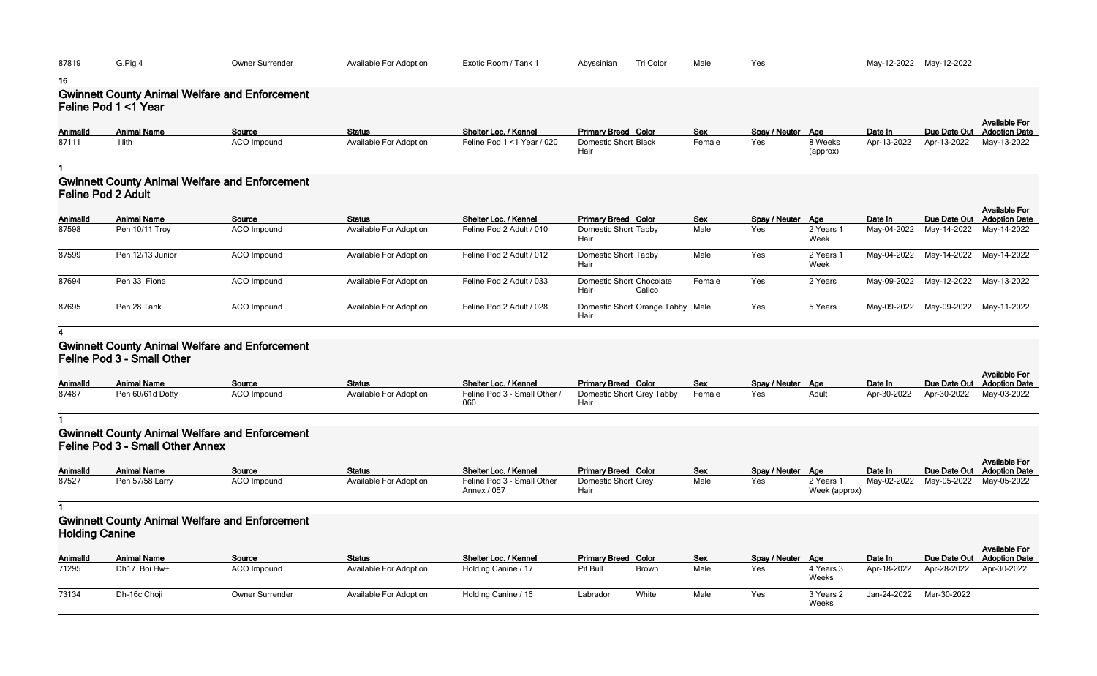| 87819    | G.Pig 4                                         | Owner Surrender                                                 | <b>Available For Adoption</b> | Exotic Room / Tank 1       | Tri Color<br>Abyssinian                           | Male       | Yes               |                     |             | May-12-2022 May-12-2022             |                                              |
|----------|-------------------------------------------------|-----------------------------------------------------------------|-------------------------------|----------------------------|---------------------------------------------------|------------|-------------------|---------------------|-------------|-------------------------------------|----------------------------------------------|
| 16       |                                                 |                                                                 |                               |                            |                                                   |            |                   |                     |             |                                     |                                              |
|          | Feline Pod 1 <1 Year                            | <b>Gwinnett County Animal Welfare and Enforcement</b>           |                               |                            |                                                   |            |                   |                     |             |                                     |                                              |
| Animalld | <b>Animal Name</b>                              | Source                                                          | <b>Status</b>                 | Shelter Loc. / Kennel      | <b>Primary Breed Color</b>                        | Sex        | Spay / Neuter Age |                     | Date In     | Due Date Out                        | <b>Available For</b><br><b>Adoption Date</b> |
| 87111    | lilith                                          | ACO Impound                                                     | <b>Available For Adoption</b> | Feline Pod 1 <1 Year / 020 | <b>Domestic Short Black</b><br>Hair               | Female     | Yes               | 8 Weeks<br>(approx) | Apr-13-2022 | Apr-13-2022                         | May-13-2022                                  |
| Animalld | <b>Feline Pod 2 Adult</b><br><b>Animal Name</b> | <b>Gwinnett County Animal Welfare and Enforcement</b><br>Source | <b>Status</b>                 | Shelter Loc. / Kennel      | <b>Primary Breed Color</b>                        | <b>Sex</b> | Spay / Neuter Age |                     | Date In     | Due Date Out                        | <b>Available For</b><br><b>Adoption Date</b> |
| 87598    | Pen 10/11 Troy                                  | ACO Impound                                                     | <b>Available For Adoption</b> | Feline Pod 2 Adult / 010   | <b>Domestic Short Tabby</b><br>Hair               | Male       | Yes               | 2 Years 1<br>Week   | May-04-2022 | May-14-2022                         | May-14-2022                                  |
| 87599    | Pen 12/13 Junior                                | ACO Impound                                                     | <b>Available For Adoption</b> | Feline Pod 2 Adult / 012   | Domestic Short Tabby<br>Hair                      | Male       | Yes               | 2 Years 1<br>Week   | May-04-2022 | May-14-2022                         | May-14-2022                                  |
| 87694    | Pen 33 Fiona                                    | ACO Impound                                                     | <b>Available For Adoption</b> | Feline Pod 2 Adult / 033   | <b>Domestic Short Chocolate</b><br>Calico<br>Hair | Female     | Yes               | 2 Years             |             | May-09-2022 May-12-2022 May-13-2022 |                                              |
| 87695    | Pen 28 Tank                                     | ACO Impound                                                     | <b>Available For Adoption</b> | Feline Pod 2 Adult / 028   | Domestic Short Orange Tabby Male<br>Hair          |            | Yes               | 5 Years             | May-09-2022 | May-09-2022                         | May-11-2022                                  |
| 4        |                                                 |                                                                 |                               |                            |                                                   |            |                   |                     |             |                                     |                                              |

# **Gwinnett County Animal Welfare and Enforcement Feline Pod 3 - Small Other**

| <b>AnimalId</b> | <b>Animal Name</b> | Source      | <b>Status</b>                 | Shelter Loc. / Kennel               | <b>Primary Breed Color</b> | Sex    | Spay / Neuter Age |       | Date In     |             | <b>Available For</b><br>Due Date Out Adoption Date |
|-----------------|--------------------|-------------|-------------------------------|-------------------------------------|----------------------------|--------|-------------------|-------|-------------|-------------|----------------------------------------------------|
| 87487           | Pen 60/61d Dotty   | ACO Impound | <b>Available For Adoption</b> | Feline Pod 3 - Small Other /<br>060 | Domestic Short Grey Tabby  | Female | Yes               | Adult | Apr-30-2022 | Apr-30-2022 | May-03-2022                                        |

#### **1**

# **Gwinnett County Animal Welfare and Enforcement Feline Pod 3 - Small Other Annex**

| <b>AnimalId</b> | <b>Animal Name</b> | Source      | <b>Status</b>                 | Shelter Loc. / Kennel                     | <b>Primary Breed Color</b> | <b>Sex</b> | Spay / Neuter Age |                            | Date In                             | <b>Available For</b><br>Due Date Out Adoption Date |
|-----------------|--------------------|-------------|-------------------------------|-------------------------------------------|----------------------------|------------|-------------------|----------------------------|-------------------------------------|----------------------------------------------------|
| 87527           | Pen 57/58 Larry    | ACO Impound | <b>Available For Adoption</b> | Feline Pod 3 - Small Other<br>Annex / 057 | Domestic Short Grey<br>Hai | Male       | Yes               | 2 Years 1<br>Week (approx) | May-02-2022 May-05-2022 May-05-2022 |                                                    |

# **1 Gwinnett County Animal Welfare and Enforcement**

| <b>Holding Canine</b> |                    |                        |                               |                       |                            |              |            |                   |                    |             |                         |                                                    |
|-----------------------|--------------------|------------------------|-------------------------------|-----------------------|----------------------------|--------------|------------|-------------------|--------------------|-------------|-------------------------|----------------------------------------------------|
| <b>AnimalId</b>       | <b>Animal Name</b> | Source                 | <b>Status</b>                 | Shelter Loc. / Kennel | <b>Primary Breed Color</b> |              | <b>Sex</b> | Spay / Neuter Age |                    | Date In     |                         | <b>Available For</b><br>Due Date Out Adoption Date |
| 71295                 | Dh17 Boi Hw+       | ACO Impound            | <b>Available For Adoption</b> | Holding Canine / 17   | Pit Bull                   | <b>Brown</b> | Male       | Yes               | 4 Years 3<br>Weeks | Apr-18-2022 | Apr-28-2022 Apr-30-2022 |                                                    |
| 73134                 | Dh-16c Choji       | <b>Owner Surrender</b> | <b>Available For Adoption</b> | Holding Canine / 16   | Labrador                   | White        | Male       | Yes               | 3 Years 2<br>Weeks | Jan-24-2022 | Mar-30-2022             |                                                    |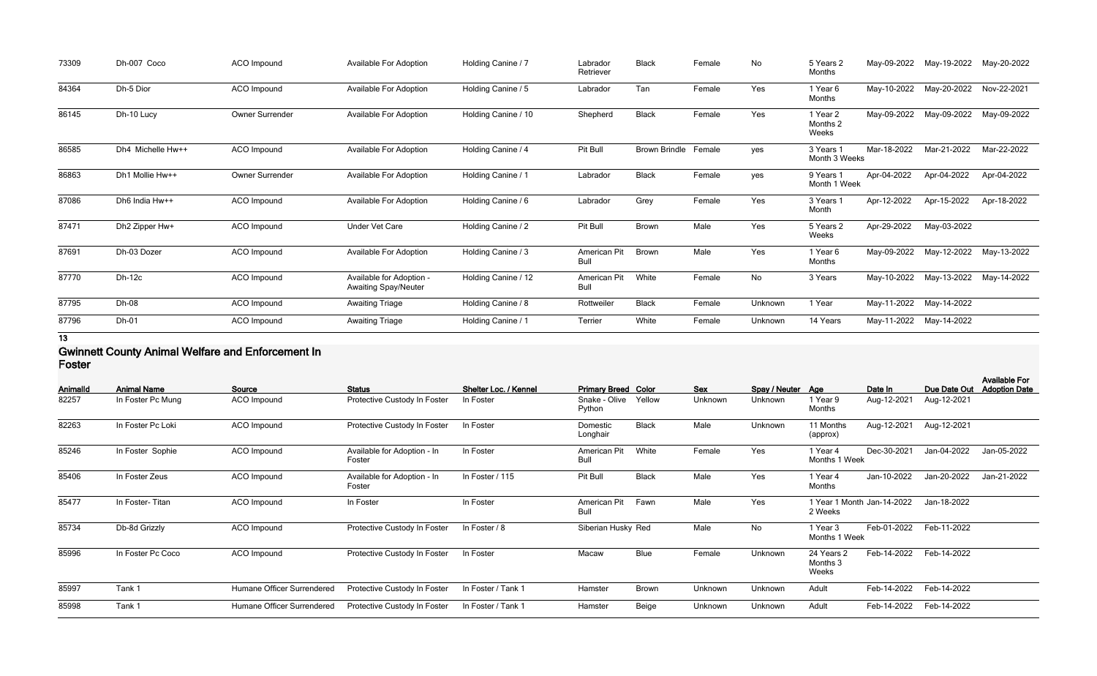| 73309 | Dh-007 Coco       | ACO Impound     | Available For Adoption                                  | Holding Canine / 7  | Labrador<br>Retriever | <b>Black</b>         | Female | No      | 5 Years 2<br>Months           | May-09-2022 | May-19-2022 | May-20-2022 |
|-------|-------------------|-----------------|---------------------------------------------------------|---------------------|-----------------------|----------------------|--------|---------|-------------------------------|-------------|-------------|-------------|
| 84364 | Dh-5 Dior         | ACO Impound     | <b>Available For Adoption</b>                           | Holding Canine / 5  | Labrador              | Tan                  | Female | Yes     | 1 Year 6<br>Months            | May-10-2022 | May-20-2022 | Nov-22-2021 |
| 86145 | Dh-10 Lucy        | Owner Surrender | Available For Adoption                                  | Holding Canine / 10 | Shepherd              | <b>Black</b>         | Female | Yes     | 1 Year 2<br>Months 2<br>Weeks | May-09-2022 | May-09-2022 | May-09-2022 |
| 86585 | Dh4 Michelle Hw++ | ACO Impound     | <b>Available For Adoption</b>                           | Holding Canine / 4  | Pit Bull              | Brown Brindle Female |        | yes     | 3 Years 1<br>Month 3 Weeks    | Mar-18-2022 | Mar-21-2022 | Mar-22-2022 |
| 86863 | Dh1 Mollie Hw++   | Owner Surrender | <b>Available For Adoption</b>                           | Holding Canine / 1  | Labrador              | <b>Black</b>         | Female | yes     | 9 Years 1<br>Month 1 Week     | Apr-04-2022 | Apr-04-2022 | Apr-04-2022 |
| 87086 | Dh6 India Hw++    | ACO Impound     | <b>Available For Adoption</b>                           | Holding Canine / 6  | Labrador              | Grey                 | Female | Yes     | 3 Years 1<br>Month            | Apr-12-2022 | Apr-15-2022 | Apr-18-2022 |
| 87471 | Dh2 Zipper Hw+    | ACO Impound     | <b>Under Vet Care</b>                                   | Holding Canine / 2  | Pit Bull              | Brown                | Male   | Yes     | 5 Years 2<br>Weeks            | Apr-29-2022 | May-03-2022 |             |
| 87691 | Dh-03 Dozer       | ACO Impound     | <b>Available For Adoption</b>                           | Holding Canine / 3  | American Pit<br>Bull  | <b>Brown</b>         | Male   | Yes     | 1 Year 6<br>Months            | May-09-2022 | May-12-2022 | May-13-2022 |
| 87770 | $Dh-12c$          | ACO Impound     | Available for Adoption -<br><b>Awaiting Spay/Neuter</b> | Holding Canine / 12 | American Pit<br>Bull  | White                | Female | No      | 3 Years                       | May-10-2022 | May-13-2022 | May-14-2022 |
| 87795 | Dh-08             | ACO Impound     | <b>Awaiting Triage</b>                                  | Holding Canine / 8  | Rottweiler            | <b>Black</b>         | Female | Unknown | 1 Year                        | May-11-2022 | May-14-2022 |             |
| 87796 | Dh-01             | ACO Impound     | <b>Awaiting Triage</b>                                  | Holding Canine / 1  | Terrier               | White                | Female | Unknown | 14 Years                      | May-11-2022 | May-14-2022 |             |

**13**

#### **Gwinnett County Animal Welfare and Enforcement In Foster**

| Animalld | <b>Animal Name</b> | Source                     | <b>Status</b>                         | Shelter Loc. / Kennel | <b>Primary Breed Color</b> |              | <b>Sex</b> | Spay / Neuter Age |                                 | Date In                    | Due Date Out | <b>Available For</b><br><b>Adoption Date</b> |
|----------|--------------------|----------------------------|---------------------------------------|-----------------------|----------------------------|--------------|------------|-------------------|---------------------------------|----------------------------|--------------|----------------------------------------------|
| 82257    | In Foster Pc Mung  | ACO Impound                | Protective Custody In Foster          | In Foster             | Snake - Olive<br>Python    | Yellow       | Unknown    | Unknown           | 1 Year 9<br>Months              | Aug-12-2021                | Aug-12-2021  |                                              |
| 82263    | In Foster Pc Loki  | ACO Impound                | Protective Custody In Foster          | In Foster             | Domestic<br>Longhair       | <b>Black</b> | Male       | Unknown           | 11 Months<br>(approx)           | Aug-12-2021                | Aug-12-2021  |                                              |
| 85246    | In Foster Sophie   | <b>ACO</b> Impound         | Available for Adoption - In<br>Foster | In Foster             | American Pit<br>Bull       | White        | Female     | Yes               | 1 Year 4<br>Months 1 Week       | Dec-30-2021                | Jan-04-2022  | Jan-05-2022                                  |
| 85406    | In Foster Zeus     | ACO Impound                | Available for Adoption - In<br>Foster | In Foster / 115       | Pit Bull                   | <b>Black</b> | Male       | Yes               | 1 Year 4<br>Months              | Jan-10-2022                | Jan-20-2022  | Jan-21-2022                                  |
| 85477    | In Foster-Titan    | ACO Impound                | In Foster                             | In Foster             | American Pit<br>Bull       | Fawn         | Male       | Yes               | 2 Weeks                         | 1 Year 1 Month Jan-14-2022 | Jan-18-2022  |                                              |
| 85734    | Db-8d Grizzly      | ACO Impound                | Protective Custody In Foster          | In Foster / 8         | Siberian Husky Red         |              | Male       | No                | 1 Year 3<br>Months 1 Week       | Feb-01-2022                | Feb-11-2022  |                                              |
| 85996    | In Foster Pc Coco  | ACO Impound                | Protective Custody In Foster          | In Foster             | Macaw                      | <b>Blue</b>  | Female     | Unknown           | 24 Years 2<br>Months 3<br>Weeks | Feb-14-2022                | Feb-14-2022  |                                              |
| 85997    | Tank 1             | Humane Officer Surrendered | Protective Custody In Foster          | In Foster / Tank 1    | Hamster                    | <b>Brown</b> | Unknown    | Unknown           | Adult                           | Feb-14-2022                | Feb-14-2022  |                                              |
| 85998    | Tank 1             | Humane Officer Surrendered | Protective Custody In Foster          | In Foster / Tank 1    | Hamster                    | Beige        | Unknown    | Unknown           | Adult                           | Feb-14-2022                | Feb-14-2022  |                                              |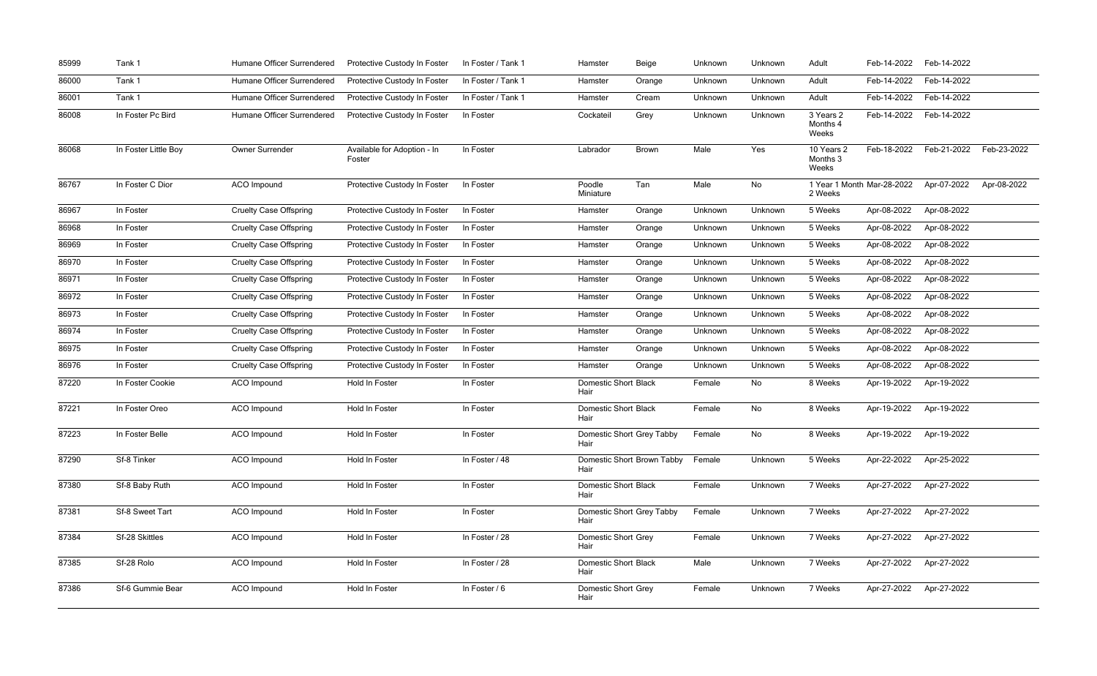| 85999 | Tank 1               | Humane Officer Surrendered    | Protective Custody In Foster          | In Foster / Tank 1 | Hamster                             | Beige        | Unknown | Unknown | Adult                           | Feb-14-2022                | Feb-14-2022 |             |
|-------|----------------------|-------------------------------|---------------------------------------|--------------------|-------------------------------------|--------------|---------|---------|---------------------------------|----------------------------|-------------|-------------|
| 86000 | Tank 1               | Humane Officer Surrendered    | Protective Custody In Foster          | In Foster / Tank 1 | Hamster                             | Orange       | Unknown | Unknown | Adult                           | Feb-14-2022                | Feb-14-2022 |             |
| 86001 | Tank 1               | Humane Officer Surrendered    | Protective Custody In Foster          | In Foster / Tank 1 | Hamster                             | Cream        | Unknown | Unknown | Adult                           | Feb-14-2022                | Feb-14-2022 |             |
| 86008 | In Foster Pc Bird    | Humane Officer Surrendered    | Protective Custody In Foster          | In Foster          | Cockateil                           | Grey         | Unknown | Unknown | 3 Years 2<br>Months 4<br>Weeks  | Feb-14-2022                | Feb-14-2022 |             |
| 86068 | In Foster Little Boy | Owner Surrender               | Available for Adoption - In<br>Foster | In Foster          | Labrador                            | <b>Brown</b> | Male    | Yes     | 10 Years 2<br>Months 3<br>Weeks | Feb-18-2022                | Feb-21-2022 | Feb-23-2022 |
| 86767 | In Foster C Dior     | ACO Impound                   | Protective Custody In Foster          | In Foster          | Poodle<br>Miniature                 | Tan          | Male    | No      | 2 Weeks                         | 1 Year 1 Month Mar-28-2022 | Apr-07-2022 | Apr-08-2022 |
| 86967 | In Foster            | <b>Cruelty Case Offspring</b> | Protective Custody In Foster          | In Foster          | Hamster                             | Orange       | Unknown | Unknown | 5 Weeks                         | Apr-08-2022                | Apr-08-2022 |             |
| 86968 | In Foster            | <b>Cruelty Case Offspring</b> | Protective Custody In Foster          | In Foster          | Hamster                             | Orange       | Unknown | Unknown | 5 Weeks                         | Apr-08-2022                | Apr-08-2022 |             |
| 86969 | In Foster            | <b>Cruelty Case Offspring</b> | Protective Custody In Foster          | In Foster          | Hamster                             | Orange       | Unknown | Unknown | 5 Weeks                         | Apr-08-2022                | Apr-08-2022 |             |
| 86970 | In Foster            | <b>Cruelty Case Offspring</b> | Protective Custody In Foster          | In Foster          | Hamster                             | Orange       | Unknown | Unknown | 5 Weeks                         | Apr-08-2022                | Apr-08-2022 |             |
| 86971 | In Foster            | <b>Cruelty Case Offspring</b> | Protective Custody In Foster          | In Foster          | Hamster                             | Orange       | Unknown | Unknown | 5 Weeks                         | Apr-08-2022                | Apr-08-2022 |             |
| 86972 | In Foster            | <b>Cruelty Case Offspring</b> | Protective Custody In Foster          | In Foster          | Hamster                             | Orange       | Unknown | Unknown | 5 Weeks                         | Apr-08-2022                | Apr-08-2022 |             |
| 86973 | In Foster            | <b>Cruelty Case Offspring</b> | Protective Custody In Foster          | In Foster          | Hamster                             | Orange       | Unknown | Unknown | 5 Weeks                         | Apr-08-2022                | Apr-08-2022 |             |
| 86974 | In Foster            | <b>Cruelty Case Offspring</b> | Protective Custody In Foster          | In Foster          | Hamster                             | Orange       | Unknown | Unknown | 5 Weeks                         | Apr-08-2022                | Apr-08-2022 |             |
| 86975 | In Foster            | <b>Cruelty Case Offspring</b> | Protective Custody In Foster          | In Foster          | Hamster                             | Orange       | Unknown | Unknown | 5 Weeks                         | Apr-08-2022                | Apr-08-2022 |             |
| 86976 | In Foster            | <b>Cruelty Case Offspring</b> | Protective Custody In Foster          | In Foster          | Hamster                             | Orange       | Unknown | Unknown | 5 Weeks                         | Apr-08-2022                | Apr-08-2022 |             |
| 87220 | In Foster Cookie     | ACO Impound                   | Hold In Foster                        | In Foster          | <b>Domestic Short Black</b><br>Hair |              | Female  | No      | 8 Weeks                         | Apr-19-2022                | Apr-19-2022 |             |
| 87221 | In Foster Oreo       | ACO Impound                   | Hold In Foster                        | In Foster          | <b>Domestic Short Black</b><br>Hair |              | Female  | No      | 8 Weeks                         | Apr-19-2022                | Apr-19-2022 |             |
| 87223 | In Foster Belle      | ACO Impound                   | Hold In Foster                        | In Foster          | Domestic Short Grey Tabby<br>Hair   |              | Female  | No      | 8 Weeks                         | Apr-19-2022                | Apr-19-2022 |             |
| 87290 | Sf-8 Tinker          | ACO Impound                   | Hold In Foster                        | In Foster / 48     | Domestic Short Brown Tabby<br>Hair  |              | Female  | Unknown | 5 Weeks                         | Apr-22-2022                | Apr-25-2022 |             |
| 87380 | Sf-8 Baby Ruth       | ACO Impound                   | Hold In Foster                        | In Foster          | <b>Domestic Short Black</b><br>Hair |              | Female  | Unknown | 7 Weeks                         | Apr-27-2022                | Apr-27-2022 |             |
| 87381 | Sf-8 Sweet Tart      | ACO Impound                   | Hold In Foster                        | In Foster          | Domestic Short Grey Tabby<br>Hair   |              | Female  | Unknown | 7 Weeks                         | Apr-27-2022                | Apr-27-2022 |             |
| 87384 | Sf-28 Skittles       | ACO Impound                   | Hold In Foster                        | In Foster / 28     | <b>Domestic Short Grey</b><br>Hair  |              | Female  | Unknown | 7 Weeks                         | Apr-27-2022                | Apr-27-2022 |             |
| 87385 | Sf-28 Rolo           | ACO Impound                   | Hold In Foster                        | In Foster / 28     | <b>Domestic Short Black</b><br>Hair |              | Male    | Unknown | 7 Weeks                         | Apr-27-2022                | Apr-27-2022 |             |
| 87386 | Sf-6 Gummie Bear     | ACO Impound                   | Hold In Foster                        | In Foster / 6      | <b>Domestic Short Grey</b><br>Hair  |              | Female  | Unknown | 7 Weeks                         | Apr-27-2022                | Apr-27-2022 |             |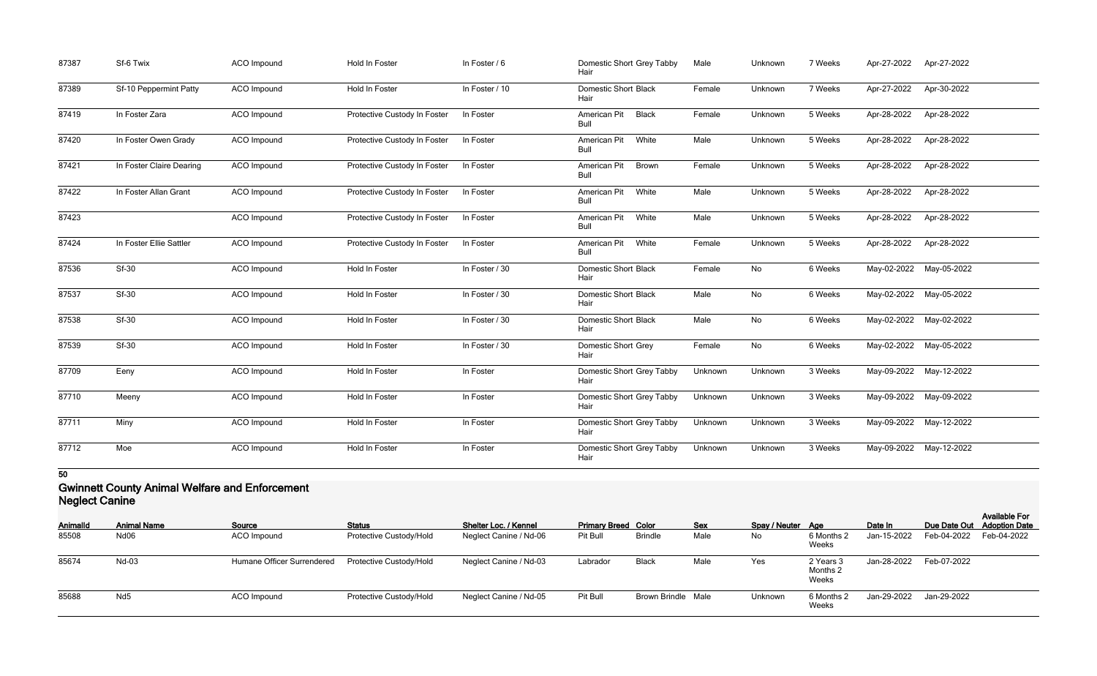| 87387 | Sf-6 Twix                | ACO Impound        | Hold In Foster               | In Foster / 6  | Domestic Short Grey Tabby<br>Hair    | Male    | Unknown | 7 Weeks | Apr-27-2022 | Apr-27-2022             |
|-------|--------------------------|--------------------|------------------------------|----------------|--------------------------------------|---------|---------|---------|-------------|-------------------------|
| 87389 | Sf-10 Peppermint Patty   | ACO Impound        | <b>Hold In Foster</b>        | In Foster / 10 | <b>Domestic Short Black</b><br>Hair  | Female  | Unknown | 7 Weeks | Apr-27-2022 | Apr-30-2022             |
| 87419 | In Foster Zara           | ACO Impound        | Protective Custody In Foster | In Foster      | American Pit<br><b>Black</b><br>Bull | Female  | Unknown | 5 Weeks | Apr-28-2022 | Apr-28-2022             |
| 87420 | In Foster Owen Grady     | ACO Impound        | Protective Custody In Foster | In Foster      | American Pit<br>White<br><b>Bull</b> | Male    | Unknown | 5 Weeks | Apr-28-2022 | Apr-28-2022             |
| 87421 | In Foster Claire Dearing | ACO Impound        | Protective Custody In Foster | In Foster      | American Pit<br>Brown<br>Bull        | Female  | Unknown | 5 Weeks | Apr-28-2022 | Apr-28-2022             |
| 87422 | In Foster Allan Grant    | ACO Impound        | Protective Custody In Foster | In Foster      | American Pit<br>White<br><b>Bull</b> | Male    | Unknown | 5 Weeks | Apr-28-2022 | Apr-28-2022             |
| 87423 |                          | ACO Impound        | Protective Custody In Foster | In Foster      | White<br>American Pit<br><b>Bull</b> | Male    | Unknown | 5 Weeks | Apr-28-2022 | Apr-28-2022             |
| 87424 | In Foster Ellie Sattler  | ACO Impound        | Protective Custody In Foster | In Foster      | American Pit<br>White<br>Bull        | Female  | Unknown | 5 Weeks | Apr-28-2022 | Apr-28-2022             |
| 87536 | Sf-30                    | ACO Impound        | Hold In Foster               | In Foster / 30 | <b>Domestic Short Black</b><br>Hair  | Female  | No      | 6 Weeks | May-02-2022 | May-05-2022             |
| 87537 | <b>Sf-30</b>             | ACO Impound        | Hold In Foster               | In Foster / 30 | <b>Domestic Short Black</b><br>Hair  | Male    | No      | 6 Weeks |             | May-02-2022 May-05-2022 |
| 87538 | <b>Sf-30</b>             | ACO Impound        | Hold In Foster               | In Foster / 30 | <b>Domestic Short Black</b><br>Hair  | Male    | No      | 6 Weeks | May-02-2022 | May-02-2022             |
| 87539 | Sf-30                    | ACO Impound        | <b>Hold In Foster</b>        | In Foster / 30 | <b>Domestic Short Grey</b><br>Hair   | Female  | No      | 6 Weeks |             | May-02-2022 May-05-2022 |
| 87709 | Eeny                     | <b>ACO</b> Impound | <b>Hold In Foster</b>        | In Foster      | Domestic Short Grey Tabby<br>Hair    | Unknown | Unknown | 3 Weeks |             | May-09-2022 May-12-2022 |
| 87710 | Meeny                    | ACO Impound        | Hold In Foster               | In Foster      | Domestic Short Grey Tabby<br>Hair    | Unknown | Unknown | 3 Weeks | May-09-2022 | May-09-2022             |
| 87711 | Miny                     | ACO Impound        | Hold In Foster               | In Foster      | Domestic Short Grey Tabby<br>Hair    | Unknown | Unknown | 3 Weeks |             | May-09-2022 May-12-2022 |
| 87712 | Moe                      | ACO Impound        | Hold In Foster               | In Foster      | Domestic Short Grey Tabby<br>Hair    | Unknown | Unknown | 3 Weeks |             | May-09-2022 May-12-2022 |

## **Gwinnett County Animal Welfare and Enforcement Neglect Canine**

| <b>TRANSPORT OF THE REAL PROPERTY</b> |                    |                            |                         |                              |                            |                           |            |                   |                                |             |             |                                                    |
|---------------------------------------|--------------------|----------------------------|-------------------------|------------------------------|----------------------------|---------------------------|------------|-------------------|--------------------------------|-------------|-------------|----------------------------------------------------|
| <b>AnimalId</b>                       | <b>Animal Name</b> | Source                     | <b>Status</b>           | <b>Shelter Loc. / Kennel</b> | <b>Primary Breed Color</b> |                           | <b>Sex</b> | Spay / Neuter Age |                                | Date In     |             | <b>Available For</b><br>Due Date Out Adoption Date |
| 85508                                 | Nd <sub>06</sub>   | ACO Impound                | Protective Custody/Hold | Neglect Canine / Nd-06       | Pit Bull                   | <b>Brindle</b>            | Male       | No                | 6 Months 2<br>Weeks            | Jan-15-2022 | Feb-04-2022 | Feb-04-2022                                        |
| 85674                                 | Nd-03              | Humane Officer Surrendered | Protective Custody/Hold | Neglect Canine / Nd-03       | Labrador                   | <b>Black</b>              | Male       | Yes               | 2 Years 3<br>Months 2<br>Weeks | Jan-28-2022 | Feb-07-2022 |                                                    |
| 85688                                 | Nd <sub>5</sub>    | ACO Impound                | Protective Custody/Hold | Neglect Canine / Nd-05       | Pit Bull                   | <b>Brown Brindle Male</b> |            | Unknown           | 6 Months 2<br>Weeks            | Jan-29-2022 | Jan-29-2022 |                                                    |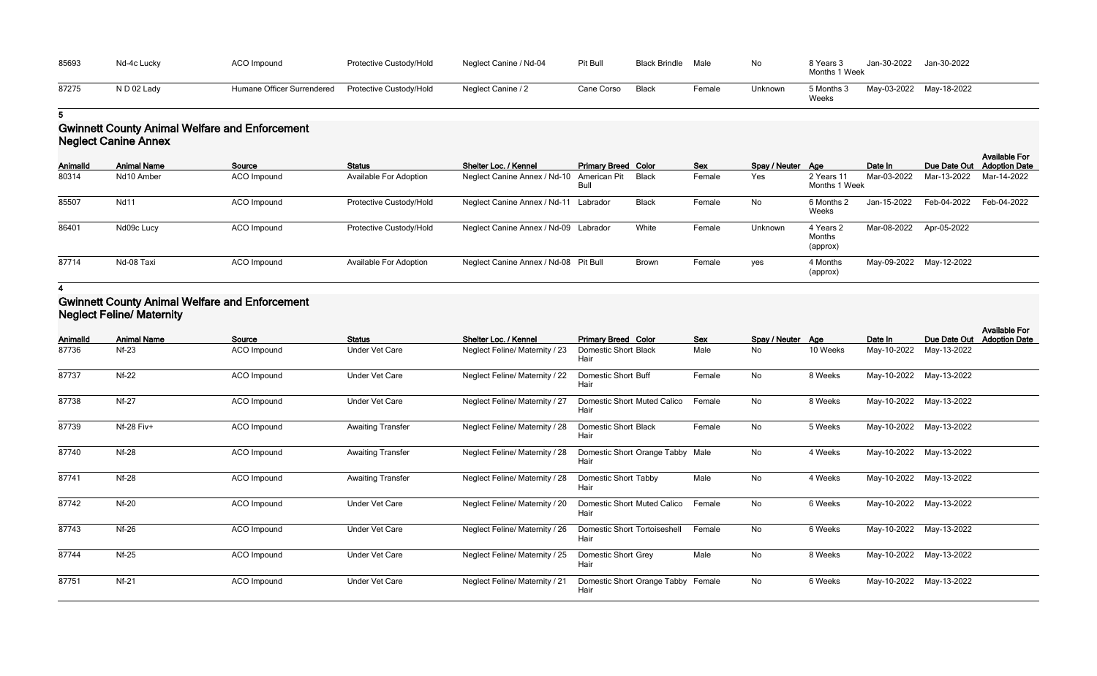| 85693 | Nd-4c Lucky | <b>ACO Impound</b>         | Protective Custody/Hold | Neglect Canine / Nd-04 | Pit Bull   | <b>Black Brindle</b> | Male   | No      | 8 Years 3<br>Months 1 Week | Jan-30-2022             | Jan-30-2022 |
|-------|-------------|----------------------------|-------------------------|------------------------|------------|----------------------|--------|---------|----------------------------|-------------------------|-------------|
| 87275 | ND 02 Lady  | Humane Officer Surrendered | Protective Custody/Hold | Neglect Canine / 2     | Cane Corso | Black                | Female | Unknown | 5 Months 3<br>Weeks        | May-03-2022 May-18-2022 |             |

# **Gwinnett County Animal Welfare and Enforcement Neglect Canine Annex**

| Animalld | <b>Animal Name</b> | Source             | <b>Status</b>                 | <b>Shelter Loc. / Kennel</b>              | <b>Primary Breed Color</b> |              | <b>Sex</b> | Spay / Neuter Age |                                 | Date In                 | Due Date Out            | <b>Available For</b><br><b>Adoption Date</b> |
|----------|--------------------|--------------------|-------------------------------|-------------------------------------------|----------------------------|--------------|------------|-------------------|---------------------------------|-------------------------|-------------------------|----------------------------------------------|
| 80314    | Nd10 Amber         | ACO Impound        | <b>Available For Adoption</b> | Neglect Canine Annex / Nd-10 American Pit | Bull                       | Black        | Female     | Yes               | 2 Years 11<br>Months 1 Week     | Mar-03-2022             | Mar-13-2022             | Mar-14-2022                                  |
| 85507    | <b>Nd11</b>        | <b>ACO</b> Impound | Protective Custody/Hold       | Neglect Canine Annex / Nd-11              | Labrador                   | <b>Black</b> | Female     | No                | 6 Months 2<br>Weeks             | Jan-15-2022             | Feb-04-2022             | Feb-04-2022                                  |
| 86401    | Nd09c Lucy         | <b>ACO</b> Impound | Protective Custody/Hold       | Neglect Canine Annex / Nd-09 Labrador     |                            | White        | Female     | Unknown           | 4 Years 2<br>Months<br>(approx) | Mar-08-2022 Apr-05-2022 |                         |                                              |
| 87714    | Nd-08 Taxi         | ACO Impound        | <b>Available For Adoption</b> | Neglect Canine Annex / Nd-08 Pit Bull     |                            | <b>Brown</b> | Female     | yes               | 4 Months<br>(approx)            |                         | May-09-2022 May-12-2022 |                                              |

#### **4**

# **Gwinnett County Animal Welfare and Enforcement Neglect Feline/ Maternity**

|          |                    |             |                          |                                       |                                             |            |                   |          |             |                         | <b>Available For</b> |
|----------|--------------------|-------------|--------------------------|---------------------------------------|---------------------------------------------|------------|-------------------|----------|-------------|-------------------------|----------------------|
| Animalld | <b>Animal Name</b> | Source      | <b>Status</b>            | Shelter Loc. / Kennel                 | <b>Primary Breed Color</b>                  | <b>Sex</b> | Spay / Neuter Age |          | Date In     | Due Date Out            | <b>Adoption Date</b> |
| 87736    | $Nf-23$            | ACO Impound | <b>Under Vet Care</b>    | <b>Neglect Feline/ Maternity / 23</b> | <b>Domestic Short Black</b><br>Hair         | Male       | No                | 10 Weeks | May-10-2022 | May-13-2022             |                      |
| 87737    | $Nf-22$            | ACO Impound | <b>Under Vet Care</b>    | <b>Neglect Feline/ Maternity / 22</b> | <b>Domestic Short Buff</b><br>Hair          | Female     | No                | 8 Weeks  | May-10-2022 | May-13-2022             |                      |
| 87738    | <b>Nf-27</b>       | ACO Impound | <b>Under Vet Care</b>    | Neglect Feline/ Maternity / 27        | <b>Domestic Short Muted Calico</b><br>Hair  | Female     | No                | 8 Weeks  | May-10-2022 | May-13-2022             |                      |
| 87739    | <b>Nf-28 Fiv+</b>  | ACO Impound | <b>Awaiting Transfer</b> | <b>Neglect Feline/ Maternity / 28</b> | <b>Domestic Short Black</b><br>Hair         | Female     | No                | 5 Weeks  | May-10-2022 | May-13-2022             |                      |
| 87740    | <b>Nf-28</b>       | ACO Impound | <b>Awaiting Transfer</b> | Neglect Feline/ Maternity / 28        | Domestic Short Orange Tabby Male<br>Hair    |            | No                | 4 Weeks  |             | May-10-2022 May-13-2022 |                      |
| 87741    | <b>Nf-28</b>       | ACO Impound | <b>Awaiting Transfer</b> | Neglect Feline/ Maternity / 28        | Domestic Short Tabby<br>Hair                | Male       | No                | 4 Weeks  | May-10-2022 | May-13-2022             |                      |
| 87742    | <b>Nf-20</b>       | ACO Impound | <b>Under Vet Care</b>    | Neglect Feline/ Maternity / 20        | <b>Domestic Short Muted Calico</b><br>Hair  | Female     | No                | 6 Weeks  | May-10-2022 | May-13-2022             |                      |
| 87743    | <b>Nf-26</b>       | ACO Impound | <b>Under Vet Care</b>    | Neglect Feline/ Maternity / 26        | <b>Domestic Short Tortoiseshell</b><br>Hair | Female     | No                | 6 Weeks  | May-10-2022 | May-13-2022             |                      |
| 87744    | $Nf-25$            | ACO Impound | <b>Under Vet Care</b>    | Neglect Feline/ Maternity / 25        | Domestic Short Grey<br>Hair                 | Male       | No                | 8 Weeks  | May-10-2022 | May-13-2022             |                      |
| 87751    | $Nf-21$            | ACO Impound | <b>Under Vet Care</b>    | <b>Neglect Feline/ Maternity / 21</b> | Domestic Short Orange Tabby Female<br>Hair  |            | No                | 6 Weeks  | May-10-2022 | May-13-2022             |                      |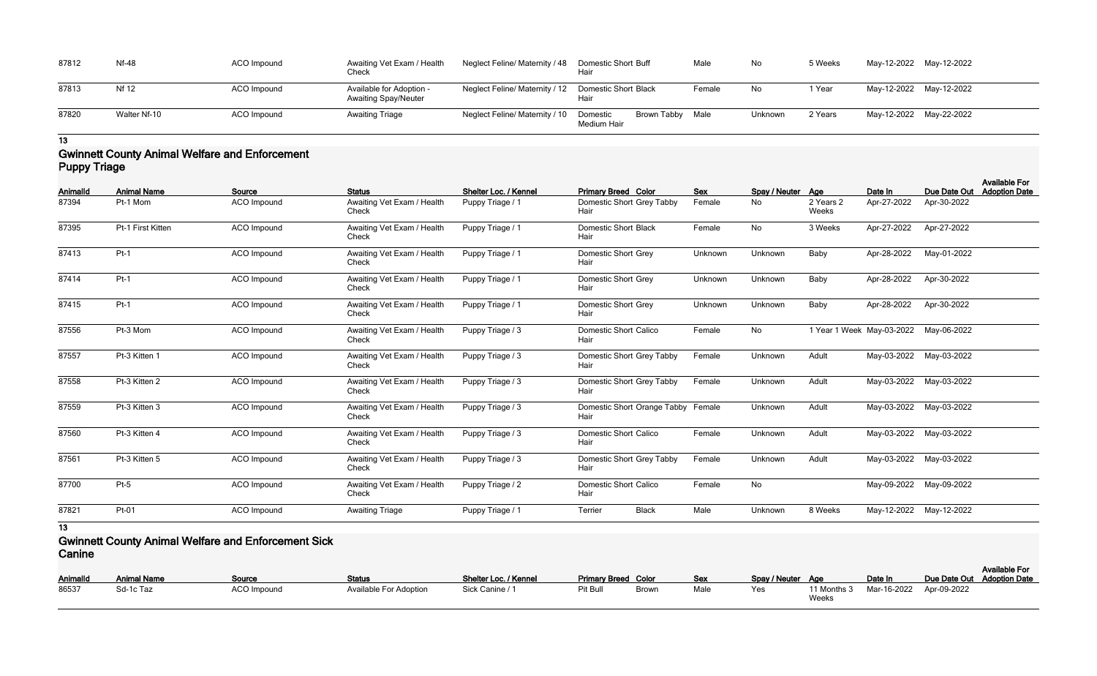| 87812 | Nf-48        | ACO Impound        | Awaiting Vet Exam / Health<br>Check                     | Neglect Feline/ Maternity / 48                       | <b>Domestic Short Buff</b><br>Hair |             | Male   | No      | 5 Weeks | May-12-2022 May-12-2022 |  |
|-------|--------------|--------------------|---------------------------------------------------------|------------------------------------------------------|------------------------------------|-------------|--------|---------|---------|-------------------------|--|
| 87813 | <b>Nf 12</b> | ACO Impound        | Available for Adoption -<br><b>Awaiting Spay/Neuter</b> | Neglect Feline/ Maternity / 12  Domestic Short Black | Hair                               |             | Female | No      | l Year  | May-12-2022 May-12-2022 |  |
| 87820 | Walter Nf-10 | <b>ACO</b> Impound | <b>Awaiting Triage</b>                                  | Neglect Feline/ Maternity / 10                       | Domestic<br>Medium Hair            | Brown Tabby | Male   | Unknown | 2 Years | May-12-2022 May-22-2022 |  |

# **Gwinnett County Animal Welfare and Enforcement Puppy Triage**

| Animalld | <b>Animal Name</b> | Source             | <b>Status</b>                       | Shelter Loc. / Kennel | <b>Primary Breed Color</b>                 | Sex     | Spay / Neuter Age |                           | Date In     | Due Date Out | <b>Available For</b><br><b>Adoption Date</b> |
|----------|--------------------|--------------------|-------------------------------------|-----------------------|--------------------------------------------|---------|-------------------|---------------------------|-------------|--------------|----------------------------------------------|
| 87394    | Pt-1 Mom           | <b>ACO</b> Impound | Awaiting Vet Exam / Health<br>Check | Puppy Triage / 1      | Domestic Short Grey Tabby<br>Hair          | Female  | No                | 2 Years 2<br>Weeks        | Apr-27-2022 | Apr-30-2022  |                                              |
| 87395    | Pt-1 First Kitten  | ACO Impound        | Awaiting Vet Exam / Health<br>Check | Puppy Triage / 1      | <b>Domestic Short Black</b><br>Hair        | Female  | No                | 3 Weeks                   | Apr-27-2022 | Apr-27-2022  |                                              |
| 87413    | $Pt-1$             | ACO Impound        | Awaiting Vet Exam / Health<br>Check | Puppy Triage / 1      | <b>Domestic Short Grey</b><br>Hair         | Unknown | Unknown           | Baby                      | Apr-28-2022 | May-01-2022  |                                              |
| 87414    | $Pt-1$             | <b>ACO</b> Impound | Awaiting Vet Exam / Health<br>Check | Puppy Triage / 1      | <b>Domestic Short Grey</b><br>Hair         | Unknown | Unknown           | Baby                      | Apr-28-2022 | Apr-30-2022  |                                              |
| 87415    | $Pt-1$             | <b>ACO</b> Impound | Awaiting Vet Exam / Health<br>Check | Puppy Triage / 1      | <b>Domestic Short Grey</b><br>Hair         | Unknown | Unknown           | Baby                      | Apr-28-2022 | Apr-30-2022  |                                              |
| 87556    | Pt-3 Mom           | <b>ACO</b> Impound | Awaiting Vet Exam / Health<br>Check | Puppy Triage / 3      | <b>Domestic Short Calico</b><br>Hair       | Female  | No                | 1 Year 1 Week May-03-2022 |             | May-06-2022  |                                              |
| 87557    | Pt-3 Kitten 1      | ACO Impound        | Awaiting Vet Exam / Health<br>Check | Puppy Triage / 3      | Domestic Short Grey Tabby<br>Hair          | Female  | Unknown           | Adult                     | May-03-2022 | May-03-2022  |                                              |
| 87558    | Pt-3 Kitten 2      | <b>ACO</b> Impound | Awaiting Vet Exam / Health<br>Check | Puppy Triage / 3      | Domestic Short Grey Tabby<br>Hair          | Female  | Unknown           | Adult                     | May-03-2022 | May-03-2022  |                                              |
| 87559    | Pt-3 Kitten 3      | <b>ACO</b> Impound | Awaiting Vet Exam / Health<br>Check | Puppy Triage / 3      | Domestic Short Orange Tabby Female<br>Hair |         | Unknown           | Adult                     | May-03-2022 | May-03-2022  |                                              |
| 87560    | Pt-3 Kitten 4      | <b>ACO</b> Impound | Awaiting Vet Exam / Health<br>Check | Puppy Triage / 3      | <b>Domestic Short Calico</b><br>Hair       | Female  | Unknown           | Adult                     | May-03-2022 | May-03-2022  |                                              |
| 87561    | Pt-3 Kitten 5      | <b>ACO</b> Impound | Awaiting Vet Exam / Health<br>Check | Puppy Triage / 3      | Domestic Short Grey Tabby<br>Hair          | Female  | Unknown           | Adult                     | May-03-2022 | May-03-2022  |                                              |
| 87700    | $Pt-5$             | ACO Impound        | Awaiting Vet Exam / Health<br>Check | Puppy Triage / 2      | <b>Domestic Short Calico</b><br>Hair       | Female  | <b>No</b>         |                           | May-09-2022 | May-09-2022  |                                              |
| 87821    | Pt-01              | ACO Impound        | <b>Awaiting Triage</b>              | Puppy Triage / 1      | <b>Black</b><br>Terrier                    | Male    | Unknown           | 8 Weeks                   | May-12-2022 | May-12-2022  |                                              |

**13**

**Gwinnett County Animal Welfare and Enforcement Sick Canine**

| <b>AnimalId</b> | <b>Animal Name</b> | <b>Source</b>      | <b>Status</b>                 | Shelter Loc. / Kennel | <b>Primary Breed Color</b> |       | Sex  | Spay / Neuter Age |              | Date In                             | Due Date Out |
|-----------------|--------------------|--------------------|-------------------------------|-----------------------|----------------------------|-------|------|-------------------|--------------|-------------------------------------|--------------|
| 86537           | Sd-1c Taz          | <b>ACO Impound</b> | <b>Available For Adoption</b> | Sick Canine / 1       | Pit Bull                   | Brown | Male | Yes               |              | 11 Months 3 Mar-16-2022 Apr-09-2022 |              |
|                 |                    |                    |                               |                       |                            |       |      |                   | <b>Weeks</b> |                                     |              |

| Spay / Neuter | Age                  | Date In     | Due Date Out | <b>Available For</b><br><b>Adoption Date</b> |
|---------------|----------------------|-------------|--------------|----------------------------------------------|
| Yes           | 11 Months 3<br>Weeks | Mar-16-2022 | Apr-09-2022  |                                              |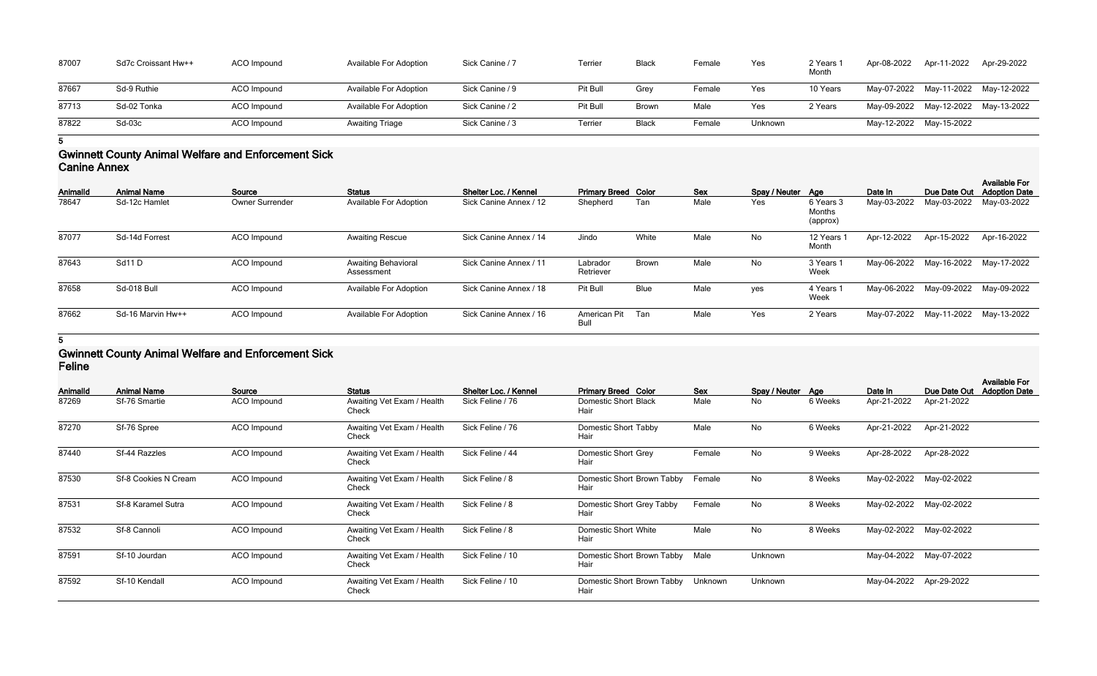| 87007 | Sd7c Croissant Hw++ | ACO Impound | <b>Available For Adoption</b> | Sick Canine / 7 | Terrier  | <b>Black</b> | Female | Yes     | 2 Years 1<br>Month | Apr-08-2022 | Apr-11-2022                         | Apr-29-2022                         |
|-------|---------------------|-------------|-------------------------------|-----------------|----------|--------------|--------|---------|--------------------|-------------|-------------------------------------|-------------------------------------|
| 87667 | Sd-9 Ruthie         | ACO Impound | <b>Available For Adoption</b> | Sick Canine / 9 | Pit Bull | Grey         | Female | Yes     | 10 Years           |             |                                     | May-07-2022 May-11-2022 May-12-2022 |
| 87713 | Sd-02 Tonka         | ACO Impound | <b>Available For Adoption</b> | Sick Canine / 2 | Pit Bull | <b>Brown</b> | Male   | Yes     | 2 Years            |             | May-09-2022 May-12-2022 May-13-2022 |                                     |
| 87822 | $Sd-03c$            | ACO Impound | <b>Awaiting Triage</b>        | Sick Canine / 3 | Terrier  | <b>Black</b> | Female | Unknown |                    |             | May-12-2022 May-15-2022             |                                     |

# **Gwinnett County Animal Welfare and Enforcement Sick Canine Annex**

| <b>AnimalId</b> | <b>Animal Name</b> | Source                 | <b>Status</b>                            | Shelter Loc. / Kennel  | <b>Primary Breed Color</b> |              | <b>Sex</b> | Spay / Neuter Age |                                 | Date In     | Due Date Out                        | <b>Available For</b><br><b>Adoption Date</b> |
|-----------------|--------------------|------------------------|------------------------------------------|------------------------|----------------------------|--------------|------------|-------------------|---------------------------------|-------------|-------------------------------------|----------------------------------------------|
| 78647           | Sd-12c Hamlet      | <b>Owner Surrender</b> | <b>Available For Adoption</b>            | Sick Canine Annex / 12 | Shepherd                   | Tan          | Male       | Yes               | 6 Years 3<br>Months<br>(approx) | May-03-2022 | May-03-2022                         | May-03-2022                                  |
| 87077           | Sd-14d Forrest     | <b>ACO</b> Impound     | <b>Awaiting Rescue</b>                   | Sick Canine Annex / 14 | Jindo                      | White        | Male       | No                | 12 Years<br>Month               | Apr-12-2022 | Apr-15-2022                         | Apr-16-2022                                  |
| 87643           | Sd11D              | ACO Impound            | <b>Awaiting Behavioral</b><br>Assessment | Sick Canine Annex / 11 | Labrador<br>Retriever      | <b>Brown</b> | Male       | No                | 3 Years 1<br>Week               | May-06-2022 |                                     | May-16-2022 May-17-2022                      |
| 87658           | Sd-018 Bull        | <b>ACO</b> Impound     | <b>Available For Adoption</b>            | Sick Canine Annex / 18 | Pit Bull                   | <b>Blue</b>  | Male       | yes               | 4 Years 1<br>Week               | May-06-2022 | May-09-2022                         | May-09-2022                                  |
| 87662           | Sd-16 Marvin Hw++  | ACO Impound            | <b>Available For Adoption</b>            | Sick Canine Annex / 16 | American Pit<br>Bull       | Tan          | Male       | Yes               | 2 Years                         |             | May-07-2022 May-11-2022 May-13-2022 |                                              |

# **5**

## **Gwinnett County Animal Welfare and Enforcement Sick Feline**

| Animalld | <b>Animal Name</b>   | Source                                             | <b>Status</b>                       | Shelter Loc. / Kennel | <b>Primary Breed Color</b>          | <b>Sex</b> | Spay / Neuter Age |         | Date In     | Due Date Out            | <b>Available For</b><br><b>Adoption Date</b> |
|----------|----------------------|----------------------------------------------------|-------------------------------------|-----------------------|-------------------------------------|------------|-------------------|---------|-------------|-------------------------|----------------------------------------------|
| 87269    | Sf-76 Smartie        | ACO Impound<br>Awaiting Vet Exam / Health<br>Check |                                     | Sick Feline / 76      | <b>Domestic Short Black</b><br>Hair | Male       | No                | 6 Weeks | Apr-21-2022 | Apr-21-2022             |                                              |
| 87270    | Sf-76 Spree          | ACO Impound                                        | Awaiting Vet Exam / Health<br>Check | Sick Feline / 76      | Domestic Short Tabby<br>Hair        | Male       | No                | 6 Weeks | Apr-21-2022 | Apr-21-2022             |                                              |
| 87440    | Sf-44 Razzles        | ACO Impound                                        | Awaiting Vet Exam / Health<br>Check | Sick Feline / 44      | Domestic Short Grey<br>Hair         | Female     | No                | 9 Weeks | Apr-28-2022 | Apr-28-2022             |                                              |
| 87530    | Sf-8 Cookies N Cream | ACO Impound                                        | Awaiting Vet Exam / Health<br>Check | Sick Feline / 8       | Domestic Short Brown Tabby<br>Hair  | Female     | No                | 8 Weeks |             | May-02-2022 May-02-2022 |                                              |
| 87531    | Sf-8 Karamel Sutra   | ACO Impound                                        | Awaiting Vet Exam / Health<br>Check | Sick Feline / 8       | Domestic Short Grey Tabby<br>Hair   | Female     | No                | 8 Weeks | May-02-2022 | May-02-2022             |                                              |
| 87532    | Sf-8 Cannoli         | ACO Impound                                        | Awaiting Vet Exam / Health<br>Check | Sick Feline / 8       | <b>Domestic Short White</b><br>Hair | Male       | No                | 8 Weeks | May-02-2022 | May-02-2022             |                                              |
| 87591    | Sf-10 Jourdan        | ACO Impound                                        | Awaiting Vet Exam / Health<br>Check | Sick Feline / 10      | Domestic Short Brown Tabby<br>Hair  | Male       | Unknown           |         | May-04-2022 | May-07-2022             |                                              |
| 87592    | Sf-10 Kendall        | ACO Impound                                        | Awaiting Vet Exam / Health<br>Check | Sick Feline / 10      | Domestic Short Brown Tabby<br>Hair  | Unknown    | Unknown           |         |             | May-04-2022 Apr-29-2022 |                                              |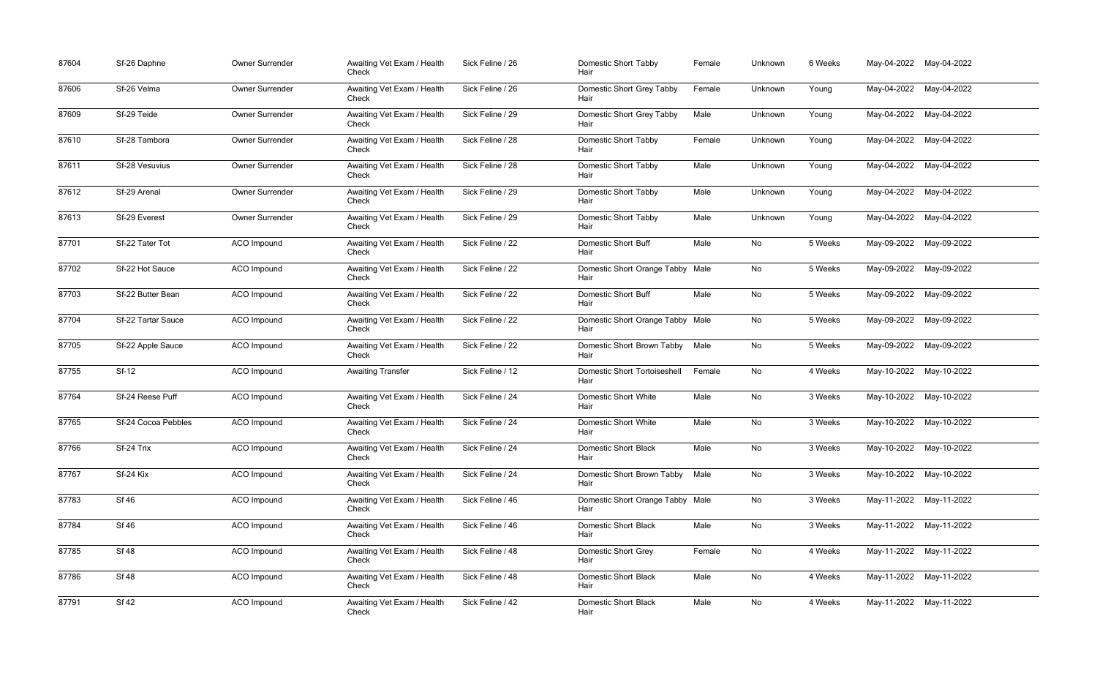| 87604 | Sf-26 Daphne        | Owner Surrender | Awaiting Vet Exam / Health<br>Check | Sick Feline / 26 | <b>Domestic Short Tabby</b><br>Hair         | Female | Unknown | 6 Weeks |             | May-04-2022 May-04-2022 |
|-------|---------------------|-----------------|-------------------------------------|------------------|---------------------------------------------|--------|---------|---------|-------------|-------------------------|
| 87606 | Sf-26 Velma         | Owner Surrender | Awaiting Vet Exam / Health<br>Check | Sick Feline / 26 | Domestic Short Grey Tabby<br>Hair           | Female | Unknown | Young   |             | May-04-2022 May-04-2022 |
| 87609 | Sf-29 Teide         | Owner Surrender | Awaiting Vet Exam / Health<br>Check | Sick Feline / 29 | Domestic Short Grey Tabby<br>Hair           | Male   | Unknown | Young   |             | May-04-2022 May-04-2022 |
| 87610 | Sf-28 Tambora       | Owner Surrender | Awaiting Vet Exam / Health<br>Check | Sick Feline / 28 | <b>Domestic Short Tabby</b><br>Hair         | Female | Unknown | Young   |             | May-04-2022 May-04-2022 |
| 87611 | Sf-28 Vesuvius      | Owner Surrender | Awaiting Vet Exam / Health<br>Check | Sick Feline / 28 | <b>Domestic Short Tabby</b><br>Hair         | Male   | Unknown | Young   |             | May-04-2022 May-04-2022 |
| 87612 | Sf-29 Arenal        | Owner Surrender | Awaiting Vet Exam / Health<br>Check | Sick Feline / 29 | Domestic Short Tabby<br>Hair                | Male   | Unknown | Young   | May-04-2022 | May-04-2022             |
| 87613 | Sf-29 Everest       | Owner Surrender | Awaiting Vet Exam / Health<br>Check | Sick Feline / 29 | Domestic Short Tabby<br>Hair                | Male   | Unknown | Young   |             | May-04-2022 May-04-2022 |
| 87701 | Sf-22 Tater Tot     | ACO Impound     | Awaiting Vet Exam / Health<br>Check | Sick Feline / 22 | <b>Domestic Short Buff</b><br>Hair          | Male   | No      | 5 Weeks |             | May-09-2022 May-09-2022 |
| 87702 | Sf-22 Hot Sauce     | ACO Impound     | Awaiting Vet Exam / Health<br>Check | Sick Feline / 22 | Domestic Short Orange Tabby Male<br>Hair    |        | No      | 5 Weeks |             | May-09-2022 May-09-2022 |
| 87703 | Sf-22 Butter Bean   | ACO Impound     | Awaiting Vet Exam / Health<br>Check | Sick Feline / 22 | <b>Domestic Short Buff</b><br>Hair          | Male   | No      | 5 Weeks |             | May-09-2022 May-09-2022 |
| 87704 | Sf-22 Tartar Sauce  | ACO Impound     | Awaiting Vet Exam / Health<br>Check | Sick Feline / 22 | Domestic Short Orange Tabby Male<br>Hair    |        | No      | 5 Weeks |             | May-09-2022 May-09-2022 |
| 87705 | Sf-22 Apple Sauce   | ACO Impound     | Awaiting Vet Exam / Health<br>Check | Sick Feline / 22 | Domestic Short Brown Tabby<br>Hair          | Male   | No      | 5 Weeks |             | May-09-2022 May-09-2022 |
| 87755 | <b>Sf-12</b>        | ACO Impound     | <b>Awaiting Transfer</b>            | Sick Feline / 12 | <b>Domestic Short Tortoiseshell</b><br>Hair | Female | No      | 4 Weeks |             | May-10-2022 May-10-2022 |
| 87764 | Sf-24 Reese Puff    | ACO Impound     | Awaiting Vet Exam / Health<br>Check | Sick Feline / 24 | <b>Domestic Short White</b><br>Hair         | Male   | No      | 3 Weeks |             | May-10-2022 May-10-2022 |
| 87765 | Sf-24 Cocoa Pebbles | ACO Impound     | Awaiting Vet Exam / Health<br>Check | Sick Feline / 24 | Domestic Short White<br>Hair                | Male   | No      | 3 Weeks |             | May-10-2022 May-10-2022 |
| 87766 | Sf-24 Trix          | ACO Impound     | Awaiting Vet Exam / Health<br>Check | Sick Feline / 24 | <b>Domestic Short Black</b><br>Hair         | Male   | No      | 3 Weeks |             | May-10-2022 May-10-2022 |
| 87767 | Sf-24 Kix           | ACO Impound     | Awaiting Vet Exam / Health<br>Check | Sick Feline / 24 | Domestic Short Brown Tabby<br>Hair          | Male   | No      | 3 Weeks |             | May-10-2022 May-10-2022 |
| 87783 | <b>Sf 46</b>        | ACO Impound     | Awaiting Vet Exam / Health<br>Check | Sick Feline / 46 | Domestic Short Orange Tabby Male<br>Hair    |        | No      | 3 Weeks |             | May-11-2022 May-11-2022 |
| 87784 | <b>Sf 46</b>        | ACO Impound     | Awaiting Vet Exam / Health<br>Check | Sick Feline / 46 | <b>Domestic Short Black</b><br>Hair         | Male   | No      | 3 Weeks |             | May-11-2022 May-11-2022 |
| 87785 | <b>Sf 48</b>        | ACO Impound     | Awaiting Vet Exam / Health<br>Check | Sick Feline / 48 | <b>Domestic Short Grey</b><br>Hair          | Female | No      | 4 Weeks |             | May-11-2022 May-11-2022 |
| 87786 | <b>Sf 48</b>        | ACO Impound     | Awaiting Vet Exam / Health<br>Check | Sick Feline / 48 | <b>Domestic Short Black</b><br>Hair         | Male   | No      | 4 Weeks |             | May-11-2022 May-11-2022 |
| 87791 | <b>Sf 42</b>        | ACO Impound     | Awaiting Vet Exam / Health<br>Check | Sick Feline / 42 | <b>Domestic Short Black</b><br>Hair         | Male   | No      | 4 Weeks |             | May-11-2022 May-11-2022 |